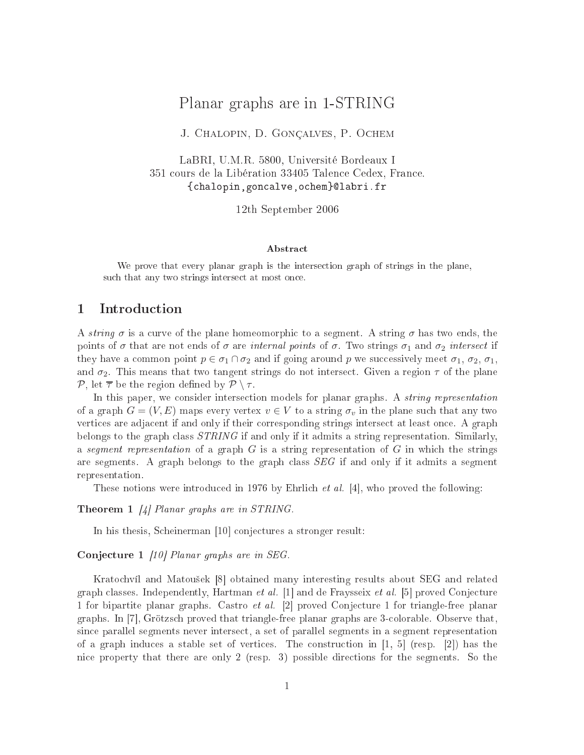# $\blacksquare$  Planer graphs are in 1-STRING and  $\blacksquare$

J. Chalopin, D. Gonçalves, P. O
hem

LaBRI, U.M.R. 5800, Université Bordeaux <sup>I</sup> <sup>351</sup> ours de la Libération <sup>33405</sup> Talen
e Cedex, Fran
e. {
halopin,gon
alve,o
hem}labri.fr

12th September <sup>2006</sup>

### Abstra
t

We prove that every planar graph is the interse
tion graph of strings in the plane, su
h that any two strings interse
t at most on
e.

### 1 Introdu
tion

A string  $\sigma$  is a curve of the plane homeomorphic to a segment. A string  $\sigma$  has two ends, the points of  $\sigma$  that are not ends of  $\sigma$  are *internal points* of  $\sigma$ . Two strings  $\sigma_1$  and  $\sigma_2$  *intersect* if they have a common point  $p \in \sigma_1 \cap \sigma_2$  and if going around p we successively meet  $\sigma_1$ ,  $\sigma_2$ ,  $\sigma_1$ , and  $\sigma_2$ . This means that two tangent strings do not intersect. Given a region  $\tau$  of the plane P, let  $\overline{\tau}$  be the region defined by  $\mathcal{P} \setminus \tau$ .

In this paper, we consider intersection models for planar graphs. A *string representation* of a graph  $G = (V, E)$  maps every vertex  $v \in V$  to a string  $\sigma_v$  in the plane such that any two vertices are adjacent if and only if their corresponding strings intersect at least once. A graph belongs to the graph class  $STRING$  if and only if it admits a string representation. Similarly, a segment representation of a graph  $G$  is a string representation of  $G$  in which the strings are segments. A graph belongs to the graph class  $SEG$  if and only if it admits a segment representation.

These notions were introduced in 1976 by Ehrlich *et al.* [4], who proved the following:

Theorem 1  $\left[4\right]$  Planar graphs are in STRING.

In his thesis, Scheinerman [10] conjectures a stronger result:

Conjecture 1 [10] Planar graphs are in SEG.

Kratochvíl and Matoušek [8] obtained many interesting results about SEG and related graph classes. Independently, Hartman et al. [1] and de Fraysseix et al. [5] proved Conjecture 1 for bipartite planar graphs. Castro *et al.* [2] proved Conjecture 1 for triangle-free planar graphs. In  $[7]$ , Grötzsch proved that triangle-free planar graphs are 3-colorable. Observe that, sin
e parallel segments never interse
t, a set of parallel segments in a segment representation of a graph induces a stable set of vertices. The construction in  $[1, 5]$  (resp.  $[2]$ ) has the ni
e property that there are only 2 (resp. 3) possible dire
tions for the segments. So the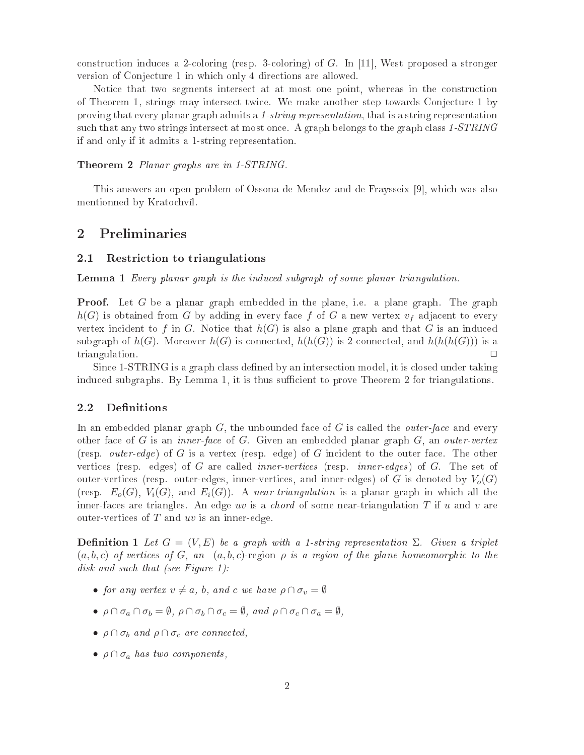construction induces a 2-coloring (resp. 3-coloring) of  $G$ . In [11], West proposed a stronger version of Conje
ture 1 in whi
h only 4 dire
tions are allowed.

Notice that two segments intersect at at most one point, whereas in the construction of Theorem 1, strings may interse
t twi
e. We make another step towards Conje
ture 1 by proving that every planar graph admits a 1-string representation, that is a string representation such that any two strings intersect at most once. A graph belongs to the graph class 1-STRING if and only if it admits a 1-string representation.

Theorem 2 Planar graphs are in 1-STRING.

This answers an open problem of Ossona de Mendez and de Fraysseix [9], which was also mentionned by Krato
hvíl.

#### $\overline{2}$ 2 Preliminaries

#### 2.1Restri
tion to triangulations

Lemma 1 Every planar graph is the indu
ed subgraph of some planar triangulation.

**Proof.** Let G be a planar graph embedded in the plane, i.e. a plane graph. The graph  $h(G)$  is obtained from G by adding in every face f of G a new vertex  $v_f$  adjacent to every vertex incident to f in G. Notice that  $h(G)$  is also a plane graph and that G is an induced subgraph of  $h(G)$ . Moreover  $h(G)$  is connected,  $h(h(G))$  is 2-connected, and  $h(h(h(G)))$  is a triangulation.  $\square$ 

Since 1-STRING is a graph class defined by an intersection model, it is closed under taking induced subgraphs. By Lemma 1, it is thus sufficient to prove Theorem 2 for triangulations.

#### 2.2Definitions

In an embedded planar graph  $G$ , the unbounded face of  $G$  is called the *outer-face* and every other face of G is an *inner-face* of G. Given an embedded planar graph  $G$ , an *outer-vertex* (resp. *outer-edge*) of G is a vertex (resp. edge) of G incident to the outer face. The other vertices (resp. edges) of G are called *inner-vertices* (resp. *inner-edges*) of G. The set of outer-vertices (resp. outer-edges, inner-vertices, and inner-edges) of G is denoted by  $V_o(G)$ (resp.  $E_o(G)$ ,  $V_i(G)$ , and  $E_i(G)$ ). A near-triangulation is a planar graph in which all the inner-faces are triangles. An edge uv is a *chord* of some near-triangulation T if u and v are outer-vertices of  $T$  and  $uv$  is an inner-edge.

**Definition 1** Let  $G = (V, E)$  be a graph with a 1-string representation  $\Sigma$ . Given a triplet  $(a, b, c)$  of vertices of G, an  $(a, b, c)$ -region  $\rho$  is a region of the plane homeomorphic to the disk and such that (see Figure 1):

- for any vertex  $v \neq a$ , b, and c we have  $\rho \cap \sigma_v = \emptyset$
- $\rho \cap \sigma_a \cap \sigma_b = \emptyset$ ,  $\rho \cap \sigma_b \cap \sigma_c = \emptyset$ , and  $\rho \cap \sigma_c \cap \sigma_a = \emptyset$ ,
- $\rho \cap \sigma_b$  and  $\rho \cap \sigma_c$  are connected,
- $\rho \cap \sigma_a$  has two components,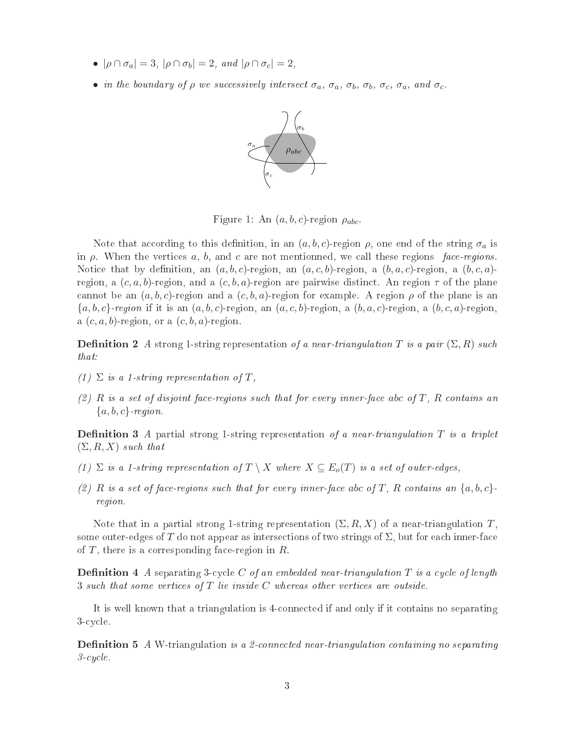- $|\rho \cap \sigma_a| = 3$ ,  $|\rho \cap \sigma_b| = 2$ , and  $|\rho \cap \sigma_c| = 2$ ,
- in the boundary of  $\rho$  we successively intersect  $\sigma_a$ ,  $\sigma_a$ ,  $\sigma_b$ ,  $\sigma_b$ ,  $\sigma_c$ ,  $\sigma_a$ , and  $\sigma_c$ .



Figure 1: An  $(a, b, c)$ -region  $\rho_{abc}$ .

Note that according to this definition, in an  $(a, b, c)$ -region  $\rho$ , one end of the string  $\sigma_a$  is in  $\rho$ . When the vertices a, b, and c are not mentionned, we call these regions face-regions. Notice that by definition, an  $(a, b, c)$ -region, an  $(a, c, b)$ -region, a  $(b, a, c)$ -region, a  $(b, c, a)$ region, a  $(c, a, b)$ -region, and a  $(c, b, a)$ -region are pairwise distinct. An region  $\tau$  of the plane cannot be an  $(a, b, c)$ -region and a  $(c, b, a)$ -region for example. A region  $\rho$  of the plane is an  $\{a, b, c\}$ -region if it is an  $(a, b, c)$ -region, an  $(a, c, b)$ -region, a  $(b, a, c)$ -region, a  $(b, c, a)$ -region, a  $(c, a, b)$ -region, or a  $(c, b, a)$ -region.

**Definition 2** A strong 1-string representation of a near-triangulation T is a pair  $(\Sigma, R)$  such that:

- (1)  $\Sigma$  is a 1-string representation of T,
- $(2)$  R is a set of disjoint face-regions such that for every inner-face abc of T, R contains an  ${a, b, c}$ -region.

**Definition 3** A partial strong 1-string representation of a near-triangulation  $T$  is a triplet  $(\Sigma, R, X)$  such that

- (1)  $\Sigma$  is a 1-string representation of  $T \setminus X$  where  $X \subseteq E_o(T)$  is a set of outer-edges,
- (2) R is a set of face-regions such that for every inner-face abc of T, R contains an  $\{a, b, c\}$ . region.

Note that in a partial strong 1-string representation  $(\Sigma, R, X)$  of a near-triangulation T. some outer-edges of T do not appear as intersections of two strings of  $\Sigma$ , but for each inner-face of  $T$ , there is a corresponding face-region in  $R$ .

**Definition 4** A separating 3-cycle C of an embedded near-triangulation T is a cycle of length 3 such that some vertices of T lie inside C whereas other vertices are outside.

It is well known that a triangulation is 4onne
ted if and only if it ontains no separating 3-cycle.

**Definition 5** A W-triangulation is a 2-connected near-triangulation containing no separating  $3-cycle.$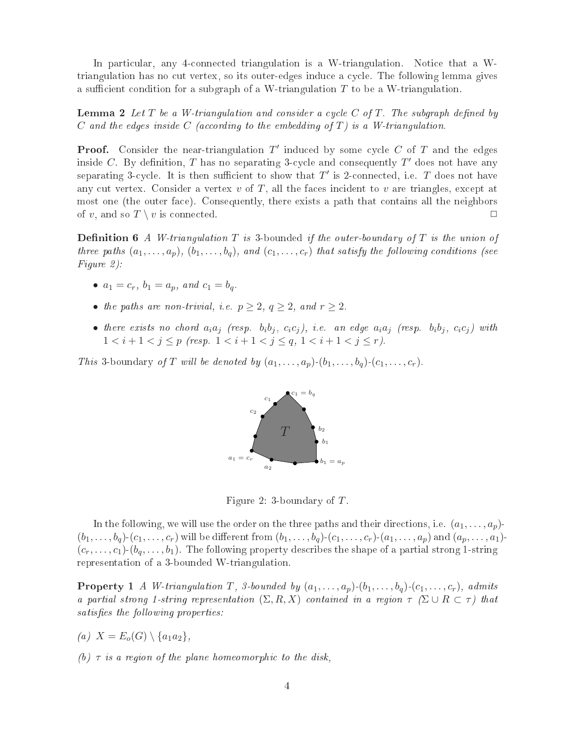In particular, any 4-connected triangulation is a W-triangulation. Notice that a Wtriangulation has no cut vertex, so its outer-edges induce a cycle. The following lemma gives a sufficient condition for a subgraph of a W-triangulation  $T$  to be a W-triangulation.

**Lemma 2** Let T be a W-triangulation and consider a cycle C of T. The subgraph defined by C and the edges inside C (according to the embedding of  $T$ ) is a W-triangulation.

**Proof.** Consider the near-triangulation  $T'$  induced by some cycle C of T and the edges inside C. By definition, T has no separating 3-cycle and consequently T' does not have any separating 3-cycle. It is then sufficient to show that  $T'$  is 2-connected, i.e. T does not have any cut vertex. Consider a vertex  $v$  of  $T$ , all the faces incident to  $v$  are triangles, except at most one (the outer face). Consequently, there exists a path that contains all the neighbors of v, and so  $T \setminus v$  is connected.

**Definition 6** A W-triangulation  $T$  is 3-bounded if the outer-boundary of  $T$  is the union of three paths  $(a_1, \ldots, a_p)$ ,  $(b_1, \ldots, b_q)$ , and  $(c_1, \ldots, c_r)$  that satisfy the following conditions (see Figure 2):

- $a_1 = c_r$ ,  $b_1 = a_p$ , and  $c_1 = b_q$ .
- the paths are non-trivial, i.e.  $p \geq 2$ ,  $q \geq 2$ , and  $r \geq 2$ .
- there exists no chord  $a_i a_j$  (resp.  $b_i b_j$ ,  $c_i c_j$ ), i.e. an edge  $a_i a_j$  (resp.  $b_i b_j$ ,  $c_i c_j$ ) with  $1 < i+1 < j \leq p$  (resp.  $1 < i+1 < j \leq q$ ,  $1 < i+1 < j \leq r$ ).

This 3-boundary of T will be denoted by  $(a_1, \ldots, a_p)$ - $(b_1, \ldots, b_q)$ - $(c_1, \ldots, c_r)$ .



Figure 2: 3-boundary of  $T$ .

In the following, we will use the order on the three paths and their directions, i.e.  $(a_1, \ldots, a_p)$ - $(b_1,\ldots,b_q)\cdot(c_1,\ldots,c_r)$  will be different from  $(b_1,\ldots,b_q)\cdot(c_1,\ldots,c_r)\cdot(a_1,\ldots,a_p)$  and  $(a_p,\ldots,a_1)$ - $(c_r, \ldots, c_1)$ - $(b_q, \ldots, b_1)$ . The following property describes the shape of a partial strong 1-string representation of a 3-bounded W-triangulation.

**Property 1** A W-triangulation T, 3-bounded by  $(a_1, \ldots, a_p)$ - $(b_1, \ldots, b_q)$ - $(c_1, \ldots, c_r)$ , admits a partial strong 1-string representation  $(\Sigma, R, X)$  contained in a region  $\tau$  ( $\Sigma \cup R \subset \tau$ ) that satisfies the following properties:

- (a)  $X = E_o(G) \setminus \{a_1a_2\},\$
- (b)  $\tau$  is a region of the plane homeomorphic to the disk,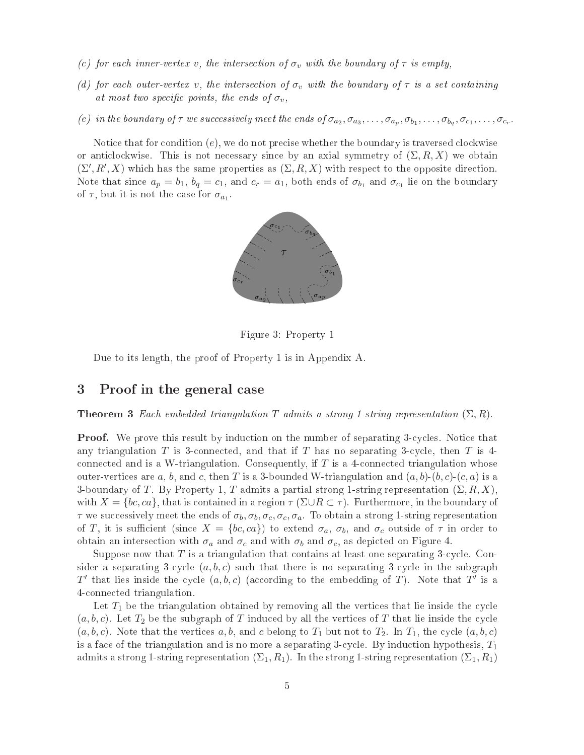- (c) for each inner-vertex v, the intersection of  $\sigma_v$  with the boundary of  $\tau$  is empty,
- (d) for each outer-vertex v, the intersection of  $\sigma_v$  with the boundary of  $\tau$  is a set containing at most two specific points, the ends of  $\sigma_v$ ,
- (e) in the boundary of  $\tau$  we successively meet the ends of  $\sigma_{a_2}, \sigma_{a_3}, \ldots, \sigma_{a_p}, \sigma_{b_1}, \ldots, \sigma_{b_q}, \sigma_{c_1}, \ldots, \sigma_{c_r}$ .

Notice that for condition  $(e)$ , we do not precise whether the boundary is traversed clockwise or anticlockwise. This is not necessary since by an axial symmetry of  $(\Sigma, R, X)$  we obtain  $(\Sigma', R', X)$  which has the same properties as  $(\Sigma, R, X)$  with respect to the opposite direction. Note that since  $a_p = b_1$ ,  $b_q = c_1$ , and  $c_r = a_1$ , both ends of  $\sigma_{b_1}$  and  $\sigma_{c_1}$  lie on the boundary of  $\tau$ , but it is not the case for  $\sigma_{a_1}$ .



Figure 3: Property 1

Due to its length, the proof of Property 1 is in Appendix A.

### 3 Proof in the general ase

**Theorem 3** Each embedded triangulation T admits a strong 1-string representation  $(\Sigma, R)$ .

**Proof.** We prove this result by induction on the number of separating 3-cycles. Notice that any triangulation T is 3-connected, and that if T has no separating 3-cycle, then T is 4connected and is a W-triangulation. Consequently, if  $T$  is a 4-connected triangulation whose outer-vertices are a, b, and c, then T is a 3-bounded W-triangulation and  $(a, b)$ - $(b, c)$ - $(c, a)$  is a 3-boundary of T. By Property 1, T admits a partial strong 1-string representation  $(\Sigma, R, X)$ , with  $X = \{bc, ca\}$ , that is contained in a region  $\tau(\Sigma \cup R \subset \tau)$ . Furthermore, in the boundary of  $\tau$  we successively meet the ends of  $\sigma_b$ ,  $\sigma_b$ ,  $\sigma_c$ ,  $\sigma_a$ . To obtain a strong 1-string representation of T, it is sufficient (since  $X = \{bc, ca\}$ ) to extend  $\sigma_a, \sigma_b$ , and  $\sigma_c$  outside of  $\tau$  in order to obtain an intersection with  $\sigma_a$  and  $\sigma_c$  and with  $\sigma_b$  and  $\sigma_c$ , as depicted on Figure 4.

Suppose now that  $T$  is a triangulation that contains at least one separating 3-cycle. Consider a separating 3-cycle  $(a, b, c)$  such that there is no separating 3-cycle in the subgraph T' that lies inside the cycle  $(a, b, c)$  (according to the embedding of T). Note that T' is a 4onne
ted triangulation.

Let  $T_1$  be the triangulation obtained by removing all the vertices that lie inside the cycle  $(a, b, c)$ . Let  $T_2$  be the subgraph of T induced by all the vertices of T that lie inside the cycle  $(a, b, c)$ . Note that the vertices a, b, and c belong to  $T_1$  but not to  $T_2$ . In  $T_1$ , the cycle  $(a, b, c)$ is a face of the triangulation and is no more a separating 3-cycle. By induction hypothesis,  $T_1$ admits a strong 1-string representation  $(\Sigma_1, R_1)$ . In the strong 1-string representation  $(\Sigma_1, R_1)$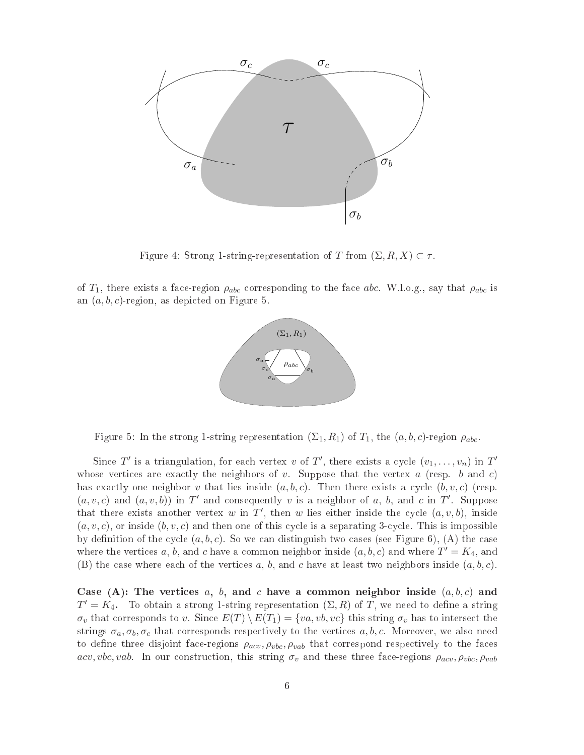

Figure 4: Strong 1-string-representation of T from  $(\Sigma, R, X) \subset \tau$ .

of  $T_1$ , there exists a face-region  $\rho_{abc}$  corresponding to the face abc. W.l.o.g., say that  $\rho_{abc}$  is an  $(a, b, c)$ -region, as depicted on Figure 5.



Figure 5: In the strong 1-string representation  $(\Sigma_1, R_1)$  of  $T_1$ , the  $(a, b, c)$ -region  $\rho_{abc}$ .

Since T' is a triangulation, for each vertex v of T', there exists a cycle  $(v_1, \ldots, v_n)$  in T' whose vertices are exactly the neighbors of v. Suppose that the vertex  $a$  (resp. b and c) has exactly one neighbor v that lies inside  $(a, b, c)$ . Then there exists a cycle  $(b, v, c)$  (resp.  $(a, v, c)$  and  $(a, v, b)$  in T' and consequently v is a neighbor of a, b, and c in T'. Suppose that there exists another vertex w in T', then w lies either inside the cycle  $(a, v, b)$ , inside  $(a, v, c)$ , or inside  $(b, v, c)$  and then one of this cycle is a separating 3-cycle. This is impossible by definition of the cycle  $(a, b, c)$ . So we can distinguish two cases (see Figure 6), (A) the case where the vertices a, b, and c have a common neighbor inside  $(a, b, c)$  and where  $T' = K_4$ , and (B) the case where each of the vertices a, b, and c have at least two neighbors inside  $(a, b, c)$ .

Case (A): The vertices a, b, and c have a common neighbor inside  $(a, b, c)$  and  $T' = \overline{K_4}$ . To obtain a strong 1-string representation  $(\Sigma, R)$  of T, we need to define a string  $\sigma_v$  that corresponds to v. Since  $E(T) \setminus E(T_1) = \{va, vb, vc\}$  this string  $\sigma_v$  has to intersect the strings  $\sigma_a, \sigma_b, \sigma_c$  that corresponds respectively to the vertices  $a, b, c$ . Moreover, we also need to define three disjoint face-regions  $\rho_{acv}, \rho_{vbc}, \rho_{vab}$  that correspond respectively to the faces acv, vbc, vab. In our construction, this string  $\sigma_v$  and these three face-regions  $\rho_{acy}, \rho_{vbc}, \rho_{vab}$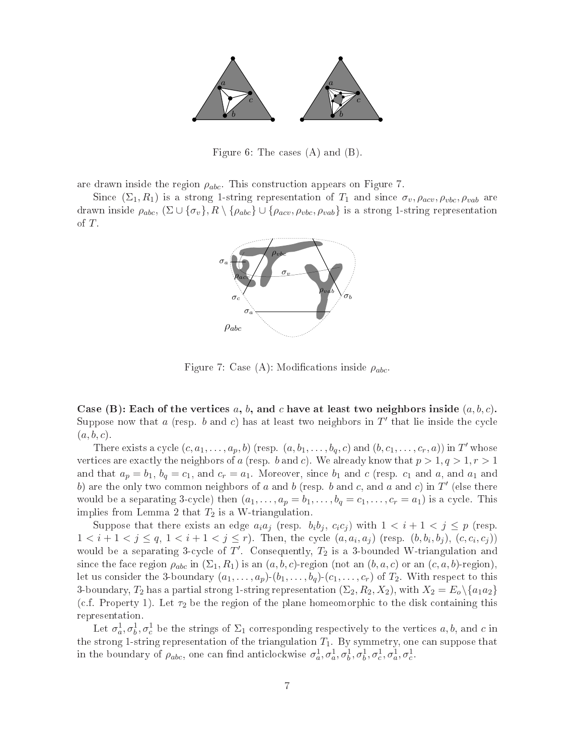

Figure 6: The cases  $(A)$  and  $(B)$ .

are drawn inside the region  $\rho_{abc}$ . This construction appears on Figure 7.

Since  $(\Sigma_1, R_1)$  is a strong 1-string representation of  $T_1$  and since  $\sigma_v, \rho_{acc}, \rho_{vbc}, \rho_{vab}$  are drawn inside  $\rho_{abc}$ ,  $(\Sigma \cup {\{\sigma_v\}}, R \setminus {\{\rho_{abc}\}} \cup {\{\rho_{acv}, \rho_{vbc}, \rho_{vab}\}}$  is a strong 1-string representation of  $T$ .



Figure 7: Case (A): Modifications inside  $\rho_{abc}$ .

Case (B): Each of the vertices a, b, and c have at least two neighbors inside  $(a, b, c)$ . Suppose now that a (resp. b and c) has at least two neighbors in  $T'$  that lie inside the cycle  $(a, b, c).$ 

There exists a cycle  $(c, a_1, \ldots, a_p, b)$  (resp.  $(a, b_1, \ldots, b_q, c)$  and  $(b, c_1, \ldots, c_r, a)$ ) in  $T'$  whose vertices are exactly the neighbors of a (resp. b and c). We already know that  $p > 1, q > 1, r > 1$ and that  $a_p = b_1$ ,  $b_q = c_1$ , and  $c_r = a_1$ . Moreover, since  $b_1$  and  $c$  (resp.  $c_1$  and  $a$ , and  $a_1$  and b) are the only two common neighbors of a and b (resp. b and c, and a and c) in T' (else there would be a separating 3-cycle) then  $(a_1, \ldots, a_p = b_1, \ldots, b_q = c_1, \ldots, c_r = a_1)$  is a cycle. This implies from Lemma 2 that  $T_2$  is a W-triangulation.

Suppose that there exists an edge  $a_i a_j$  (resp.  $b_i b_j$ ,  $c_i c_j$ ) with  $1 < i+1 < j \leq p$  (resp.  $1 < i+1 < j \le q$ ,  $1 < i+1 < j \le r$ ). Then, the cycle  $(a, a_i, a_j)$  (resp.  $(b, b_i, b_j)$ ,  $(c, c_i, c_j)$ ) would be a separating 3-cycle of T'. Consequently,  $T_2$  is a 3-bounded W-triangulation and since the face region  $\rho_{abc}$  in  $(\Sigma_1, R_1)$  is an  $(a, b, c)$ -region (not an  $(b, a, c)$  or an  $(c, a, b)$ -region), let us consider the 3-boundary  $(a_1, \ldots, a_p)$ - $(b_1, \ldots, b_q)$ - $(c_1, \ldots, c_r)$  of  $T_2$ . With respect to this 3-boundary,  $T_2$  has a partial strong 1-string representation  $(\Sigma_2, R_2, X_2)$ , with  $X_2 = E_0 \setminus \{a_1 a_2\}$ (c.f. Property 1). Let  $\tau_2$  be the region of the plane homeomorphic to the disk containing this representation.

Let  $\sigma_a^1, \sigma_b^1, \sigma_c^1$  be the strings of  $\Sigma_1$  corresponding respectively to the vertices  $a, b$ , and  $c$  in the strong 1-string representation of the triangulation  $T_1$ . By symmetry, one can suppose that in the boundary of  $\rho_{abc}$ , one can find anticlockwise  $\sigma_a^1, \sigma_a^1, \sigma_b^1, \sigma_b^1, \sigma_c^1, \sigma_a^1, \sigma_c^1$ .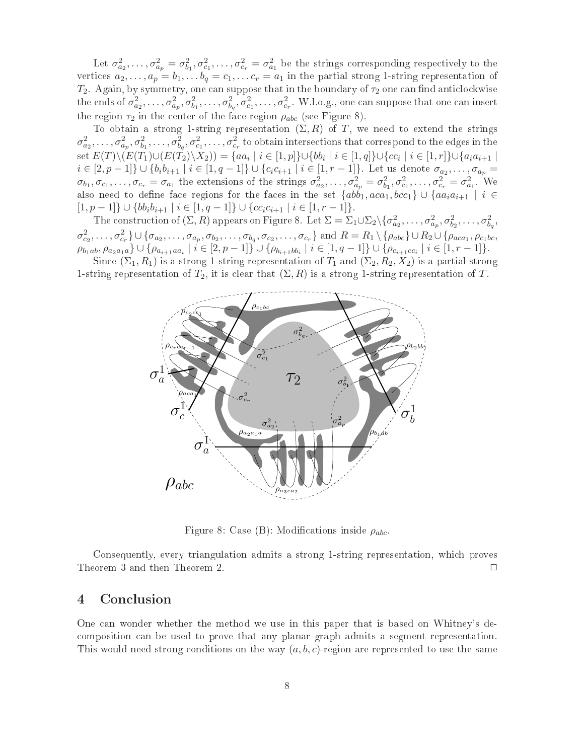Let  $\sigma_{a_2}^2, \ldots, \sigma_{a_p}^2 = \sigma_{b_1}^2, \sigma_{c_1}^2, \ldots, \sigma_{c_r}^2 = \sigma_{a_1}^2$  be the strings corresponding respectively to the vertices  $a_2, \ldots, a_p = b_1, \ldots b_q = c_1, \ldots c_r = a_1$  in the partial strong 1-string representation of  $T_2$ . Again, by symmetry, one can suppose that in the boundary of  $\tau_2$  one can find anticlockwise the ends of  $\sigma_{a_2}^2,\ldots,\sigma_{a_p}^2,\sigma_{b_1}^2,\ldots,\sigma_{b_q}^2,\sigma_{c_1}^2,\ldots,\sigma_{c_r}^2$ . W.l.o.g., one can suppose that one can insert the region  $\tau_2$  in the center of the face-region  $\rho_{abc}$  (see Figure 8).

To obtain a strong 1-string representation  $(\Sigma, R)$  of T, we need to extend the strings  $\sigma_{a_2}^2,\ldots,\sigma_{a_p}^2,\sigma_{b_1}^2,\ldots,\sigma_{b_q}^2,\sigma_{c_1}^2,\ldots,\sigma_{c_r}^2$  to obtain intersections that correspond to the edges in the set  $E(T)\setminus (E(T_1)\cup (E(T_2)\setminus X_2)) = \{aa_i \mid i \in [1,p]\}\cup \{bb_i \mid i \in [1,q]\}\cup \{cc_i \mid i \in [1,r]\}\cup \{a_ia_{i+1} \mid i \in [1,p]\}$  $i \in [2, p-1] \} \cup \{b_i b_{i+1} \mid i \in [1, q-1]\} \cup \{c_i c_{i+1} \mid i \in [1, r-1]\}.$  Let us denote  $\sigma_{a_2}, \ldots, \sigma_{a_p} =$  $\sigma_{b_1}, \sigma_{c_1}, \ldots, \sigma_{c_r} = \sigma_{a_1}$  the extensions of the strings  $\sigma_{a_2}^2, \ldots, \sigma_{a_p}^2 = \sigma_{b_1}^2, \sigma_{c_1}^2, \ldots, \sigma_{c_r}^2 = \sigma_{a_1}^2$ . We also need to define face regions for the faces in the set  $\{abb_1,aca_1, bcc_1\} \cup \{aa_ia_{i$  $[1, p - 1]$   $\cup$   $\{bb_0i_1\}_{i \in [1, q - 1]$   $\cup$   $\{cc_ic_{i+1} \mid i \in [1, r - 1]\}$ .

The construction of  $(\Sigma, R)$  appears on Figure 8. Let  $\Sigma = \Sigma_1 \cup \Sigma_2 \setminus \{\sigma_{a_2}^2, \ldots, \sigma_{a_p}^2, \sigma_{b_2}^2, \ldots, \sigma_{b_q}^2,$  $\{\sigma_{c_2}^2,\ldots,\sigma_{c_r}^2\}\cup\{\sigma_{a_2},\ldots,\sigma_{a_p},\sigma_{b_2},\ldots,\sigma_{b_q},\sigma_{c_2},\ldots,\sigma_{c_r}\}\text{ and }R=R_1\setminus\{\rho_{abc}\}\cup R_2\cup\{\rho_{aca_1},\rho_{c_1bc},\rho_{c_2},\ldots,\rho_{c_q}\}\text{ and }R=R_2\cup\{\rho_{a_1},\ldots,\rho_{a_p}\}$  $\rho_{b_1ab}, \rho_{a_2a_1a}\}\cup\{\rho_{a_{i+1}aa_i}\mid i\in[2,p-1]\}\cup\{\rho_{b_{i+1}bb_i}\mid i\in[1,q-1]\}\cup\{\rho_{c_{i+1}cc_i}\mid i\in[1,r-1]\}.$ 

Since  $(\Sigma_1, R_1)$  is a strong 1-string representation of  $T_1$  and  $(\Sigma_2, R_2, X_2)$  is a partial strong 1-string representation of  $T_2$ , it is clear that  $(\Sigma, R)$  is a strong 1-string representation of T.



Figure 8: Case (B): Modifications inside  $\rho_{abc}$ .

Consequently, every triangulation admits a strong 1-string representation, whi
h proves Theorem 3 and then Theorem 2.

#### $\overline{\mathbf{4}}$ Conclusion

One an wonder whether the method we use in this paper that is based on Whitney's de omposition an be used to prove that any planar graph admits a segment representation. This would need strong conditions on the way  $(a, b, c)$ -region are represented to use the same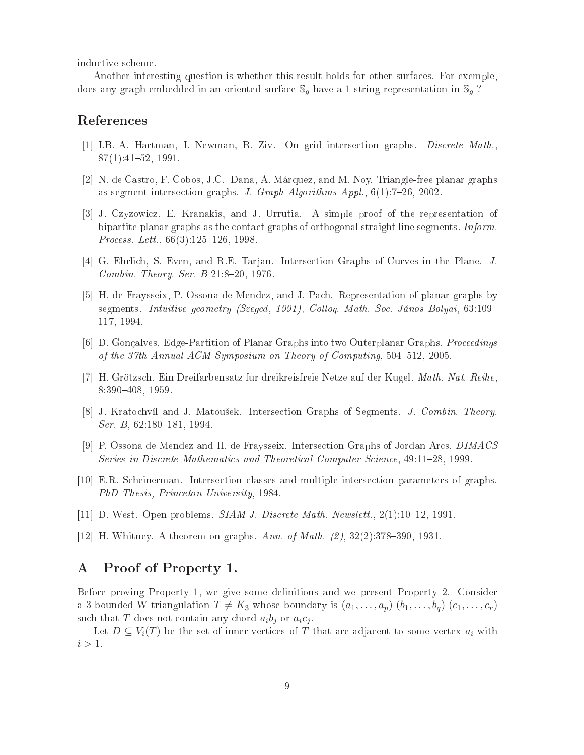indu
tive s
heme.

Another interesting question is whether this result holds for other surfa
es. For exemple, does any graph embedded in an oriented surface  $\mathbb{S}_q$  have a 1-string representation in  $\mathbb{S}_q$ ?

### Referen
es

- [1] I.B.-A. Hartman, I. Newman, R. Ziv. On grid intersection graphs. *Discrete Math.*,  $87(1):41-52,1991$
- [2] N. de Castro, F. Cobos, J.C. Dana, A. Márquez, and M. Noy. Triangle-free planar graphs as segment intersection graphs. J. Graph Algorithms Appl.,  $6(1)$ : 7–26, 2002.
- [3] J. Czyzowicz, E. Kranakis, and J. Urrutia. A simple proof of the representation of bipartite planar graphs as the contact graphs of orthogonal straight line segments. Inform. *Process. Lett.*,  $66(3):125-126$ , 1998.
- [4] G. Ehrlich, S. Even, and R.E. Tarjan. Intersection Graphs of Curves in the Plane. J. Combin. Theory. Ser.  $B$  21:8-20, 1976.
- [5] H. de Fraysseix, P. Ossona de Mendez, and J. Pach. Representation of planar graphs by segments. Intuitive geometry (Szeged, 1991), Colloq. Math. Soc. János Bolyai, 63:109– 117, 1994.
- [6] D. Gonçalves. Edge-Partition of Planar Graphs into two Outerplanar Graphs. Proceedings of the 37th Annual ACM Symposium on Theory of Computing,  $504-512$ , 2005.
- [7] H. Grötzsch. Ein Dreifarbensatz fur dreikreisfreie Netze auf der Kugel. Math. Nat. Reihe, 8:390408, 1959.
- [8] J. Kratochvíl and J. Matoušek. Intersection Graphs of Segments. J. Combin. Theory. Ser. B,  $62:180-181$ , 1994.
- [9] P. Ossona de Mendez and H. de Fraysseix. Intersection Graphs of Jordan Arcs. DIMACS Series in Discrete Mathematics and Theoretical Computer Science, 49:11–28, 1999.
- [10] E.R. Scheinerman. Intersection classes and multiple intersection parameters of graphs. PhD Thesis, Prin
eton University, 1984.
- $[11]$  D. West. Open problems. *SIAM J. Discrete Math. Newslett.*,  $2(1):10-12$ , 1991.
- [12] H. Whitney. A theorem on graphs. Ann. of Math.  $(2), 32(2): 378-390, 1931$ .

## A Proof of Property 1.

Before proving Property 1, we give some definitions and we present Property 2. Consider a 3-bounded W-triangulation  $T \neq K_3$  whose boundary is  $(a_1, \ldots, a_p)(b_1, \ldots, b_q)(c_1, \ldots, c_r)$ such that T does not contain any chord  $a_i b_j$  or  $a_i c_j$ .

Let  $D \subseteq V_i(T)$  be the set of inner-vertices of T that are adjacent to some vertex  $a_i$  with  $i > 1$ .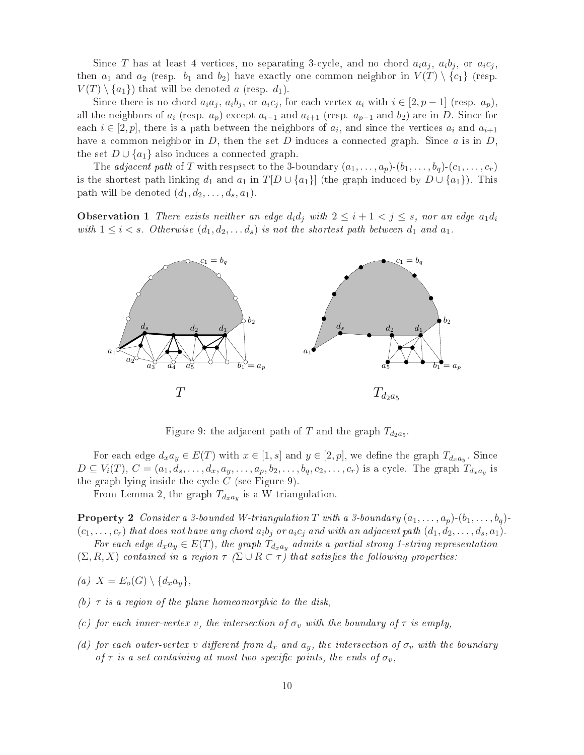Since T has at least 4 vertices, no separating 3-cycle, and no chord  $a_i a_j$ ,  $a_i b_j$ , or  $a_i c_j$ , then  $a_1$  and  $a_2$  (resp.  $b_1$  and  $b_2$ ) have exactly one common neighbor in  $V(T) \setminus \{c_1\}$  (resp.  $V(T) \setminus \{a_1\}$  that will be denoted a (resp.  $d_1$ ).

Since there is no chord  $a_i a_j$ ,  $a_i b_j$ , or  $a_i c_j$ , for each vertex  $a_i$  with  $i \in [2, p-1]$  (resp.  $a_p$ ), all the neighbors of  $a_i$  (resp.  $a_p$ ) except  $a_{i-1}$  and  $a_{i+1}$  (resp.  $a_{p-1}$  and  $b_2$ ) are in D. Since for each  $i \in [2, p]$ , there is a path between the neighbors of  $a_i$ , and since the vertices  $a_i$  and  $a_{i+1}$ have a common neighbor in  $D$ , then the set  $D$  induces a connected graph. Since  $a$  is in  $D$ , the set  $D \cup \{a_1\}$  also induces a connected graph.

The *adjacent path* of T with respsect to the 3-boundary  $(a_1, \ldots, a_p)(b_1, \ldots, b_q)(c_1, \ldots, c_r)$ is the shortest path linking  $d_1$  and  $a_1$  in  $T[D\cup \{a_1\}]$  (the graph induced by  $D\cup \{a_1\}$ ). This path will be denoted  $(d_1, d_2, \ldots, d_s, a_1)$ .

**Observation 1** There exists neither an edge  $d_i d_j$  with  $2 \leq i+1 < j \leq s$ , nor an edge  $a_1 d_i$ with  $1 \leq i < s$ . Otherwise  $(d_1, d_2, \ldots, d_s)$  is not the shortest path between  $d_1$  and  $a_1$ .



Figure 9: the adjacent path of  $T$  and the graph  $T_{d_2a_5}$ .

For each edge  $d_x a_y \in E(T)$  with  $x \in [1, s]$  and  $y \in [2, p]$ , we define the graph  $T_{d_x a_y}$ . Since  $D \subseteq V_i(T), C = (a_1, d_s, \ldots, d_x, a_y, \ldots, a_p, b_2, \ldots, b_q, c_2, \ldots, c_r)$  is a cycle. The graph  $T_{d_x a_y}$  is the graph lying inside the cycle  $C$  (see Figure 9).

From Lemma 2, the graph  $T_{d_x a_y}$  is a W-triangulation.

**Property 2** Consider a 3-bounded W-triangulation T with a 3-boundary  $(a_1, \ldots, a_p)$ - $(b_1, \ldots, b_q)$ - $(c_1,\ldots,c_r)$  that does not have any chord  $a_ib_j$  or  $a_ic_j$  and with an adjacent path  $(d_1,d_2,\ldots,d_s,a_1)$ .

For each edge  $d_x a_y \in E(T)$ , the graph  $T_{d_x a_y}$  admits a partial strong 1-string representation  $(\Sigma, R, X)$  contained in a region  $\tau$  ( $\Sigma \cup R \subset \tau$ ) that satisfies the following properties:

- (a)  $X = E_o(G) \setminus \{d_x a_y\},\$
- (b)  $\tau$  is a region of the plane homeomorphic to the disk,
- (c) for each inner-vertex v, the intersection of  $\sigma_v$  with the boundary of  $\tau$  is empty,
- (d) for each outer-vertex v different from  $d_x$  and  $a_y$ , the intersection of  $\sigma_y$  with the boundary of  $\tau$  is a set containing at most two specific points, the ends of  $\sigma_v$ ,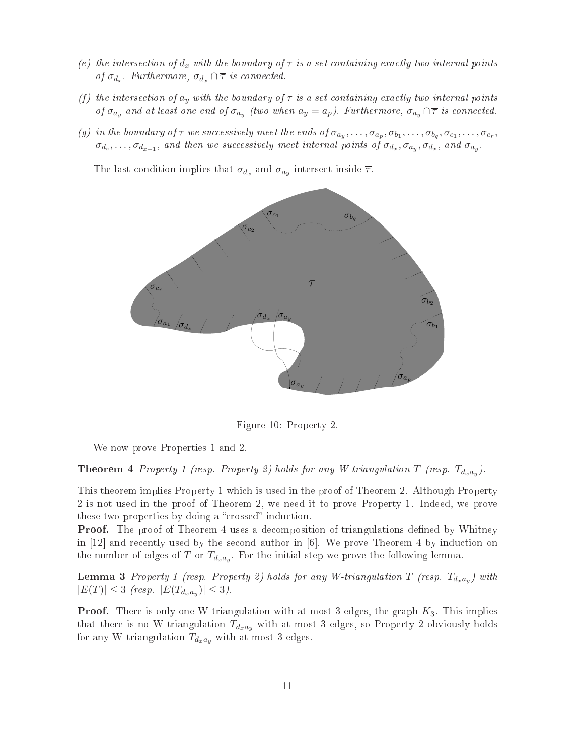- (e) the intersection of  $d_x$  with the boundary of  $\tau$  is a set containing exactly two internal points of  $\sigma_{d_x}$ . Furthermore,  $\sigma_{d_x} \cap \overline{\tau}$  is connected.
- (f) the intersection of  $a_y$  with the boundary of  $\tau$  is a set containing exactly two internal points of  $\sigma_{a_y}$  and at least one end of  $\sigma_{a_y}$  (two when  $a_y = a_p$ ). Furthermore,  $\sigma_{a_y} \cap \overline{\tau}$  is connected.
- (g) in the boundary of  $\tau$  we successively meet the ends of  $\sigma_{a_y},\ldots,\sigma_{a_p},\sigma_{b_1},\ldots,\sigma_{b_q},\sigma_{c_1},\ldots,\sigma_{c_r}$ ,  $\sigma_{d_s}, \ldots, \sigma_{d_{x+1}},$  and then we successively meet internal points of  $\sigma_{d_x}, \sigma_{a_y}, \sigma_{d_x},$  and  $\sigma_{a_y}$ .

The last condition implies that  $\sigma_{d_x}$  and  $\sigma_{a_y}$  intersect inside  $\overline{\tau}$ .



Figure 10: Property 2.

We now prove Properties 1 and 2.

**Theorem 4** Property 1 (resp. Property 2) holds for any W-triangulation T (resp.  $T_{d_x a_y}$ ).

This theorem implies Property 1 whi
h is used in the proof of Theorem 2. Although Property 2 is not used in the proof of Theorem 2, we need it to prove Property 1. Indeed, we prove these two properties by doing a "crossed" induction.

**Proof.** The proof of Theorem 4 uses a decomposition of triangulations defined by Whitney in  $[12]$  and recently used by the second author in  $[6]$ . We prove Theorem 4 by induction on the number of edges of T or  $T_{d_x a_y}$ . For the initial step we prove the following lemma.

**Lemma 3** Property 1 (resp. Property 2) holds for any W-triangulation T (resp.  $T_{d_x a_y}$ ) with  $|E(T)| \leq 3$  (resp.  $|E(T_{d_x a_y})| \leq 3$ ).

**Proof.** There is only one W-triangulation with at most 3 edges, the graph  $K_3$ . This implies that there is no W-triangulation  $T_{d_xa_y}$  with at most 3 edges, so Property 2 obviously holds for any W-triangulation  $T_{d_x a_y}$  with at most 3 edges.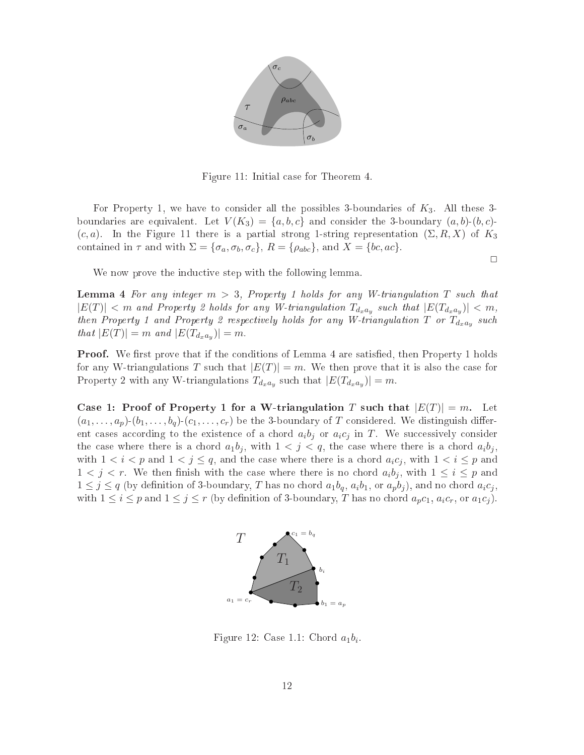

Figure 11: Initial ase for Theorem 4.

For Property 1, we have to consider all the possibles 3-boundaries of  $K_3$ . All these 3boundaries are equivalent. Let  $V(K_3) = \{a, b, c\}$  and consider the 3-boundary  $(a, b)$ - $(b, c)$ - $(c, a)$ . In the Figure 11 there is a partial strong 1-string representation  $(\Sigma, R, X)$  of  $K_3$ contained in  $\tau$  and with  $\Sigma = {\sigma_a, \sigma_b, \sigma_c}$ ,  $R = {\rho_{abc}}$ , and  $X = {bc, ac}$ .

 $\Box$ 

We now prove the inductive step with the following lemma.

**Lemma 4** For any integer  $m > 3$ , Property 1 holds for any W-triangulation T such that  $|E(T)| < m$  and Property 2 holds for any W-triangulation  $T_{d_x a_y}$  such that  $|E(T_{d_x a_y})| < m$ , then Property 1 and Property 2 respectively holds for any W-triangulation T or  $T_{d_x a_y}$  such that  $|E(T)| = m$  and  $|E(T_{d_x a_y})| = m$ .

**Proof.** We first prove that if the conditions of Lemma 4 are satisfied, then Property 1 holds for any W-triangulations T such that  $|E(T)| = m$ . We then prove that it is also the case for Property 2 with any W-triangulations  $T_{d_x a_y}$  such that  $|E(T_{d_x a_y})| = m$ .

Case 1: Proof of Property 1 for a W-triangulation T such that  $|E(T)| = m$ . Let  $(a_1, \ldots, a_n)$ - $(b_1, \ldots, b_n)$ - $(c_1, \ldots, c_r)$  be the 3-boundary of T considered. We distinguish different cases according to the existence of a chord  $a_i b_j$  or  $a_i c_j$  in T. We successively consider the case where there is a chord  $a_1b_j$ , with  $1 < j < q$ , the case where there is a chord  $a_ib_j$ . with  $1 < i < p$  and  $1 < j \le q$ , and the case where there is a chord  $a_i c_j$ , with  $1 < i \le p$  and  $1 < j < r$ . We then finish with the case where there is no chord  $a_i b_j$ , with  $1 \le i \le p$  and  $1 \leq j \leq q$  (by definition of 3-boundary, T has no chord  $a_1b_q$ ,  $a_ib_1$ , or  $a_pb_j$ ), and no chord  $a_ic_j$ , with  $1 \leq i \leq p$  and  $1 \leq j \leq r$  (by definition of 3-boundary, T has no chord  $a_p c_1, a_i c_r$ , or  $a_1 c_j$ ).



Figure 12: Case 1.1: Chord  $a_1b_i$ .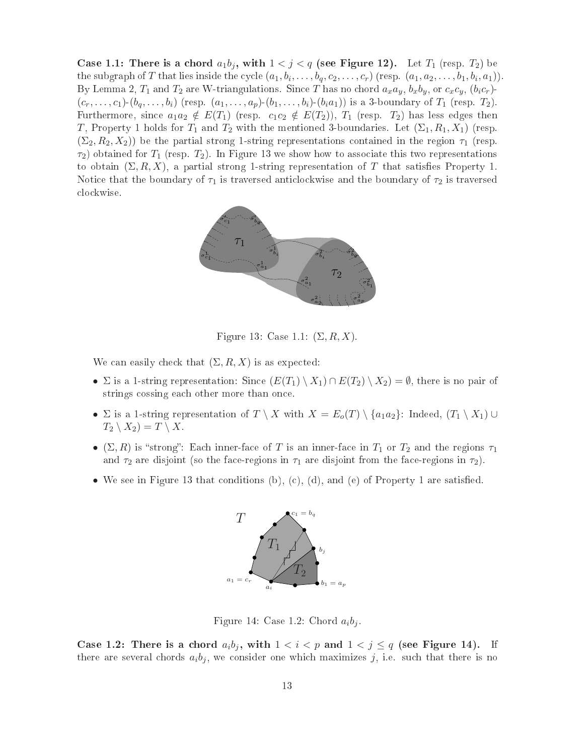Case 1.1: There is a chord  $a_1b_j$ , with  $1 < j < q$  (see Figure 12). Let  $T_1$  (resp.  $T_2$ ) be the subgraph of T that lies inside the cycle  $(a_1, b_i, \ldots, b_q, c_2, \ldots, c_r)$  (resp.  $(a_1, a_2, \ldots, b_1, b_i, a_1)$ ). By Lemma 2,  $T_1$  and  $T_2$  are W-triangulations. Since T has no chord  $a_xa_y$ ,  $b_xb_y$ , or  $c_xc_y$ ,  $(b_ic_r)$ - $(c_r, \ldots, c_1)$ - $(b_q, \ldots, b_i)$  (resp.  $(a_1, \ldots, a_p)$ - $(b_1, \ldots, b_i)$ - $(b_ia_1)$ ) is a 3-boundary of  $T_1$  (resp.  $T_2$ ). Furthermore, since  $a_1a_2 \notin E(T_1)$  (resp.  $c_1c_2 \notin E(T_2)$ ),  $T_1$  (resp.  $T_2$ ) has less edges then T, Property 1 holds for  $T_1$  and  $T_2$  with the mentioned 3-boundaries. Let  $(\Sigma_1, R_1, X_1)$  (resp.  $(\Sigma_2, R_2, X_2)$ ) be the partial strong 1-string representations contained in the region  $\tau_1$  (resp.  $\tau_2$ ) obtained for  $T_1$  (resp.  $T_2$ ). In Figure 13 we show how to associate this two representations to obtain  $(\Sigma, R, X)$ , a partial strong 1-string representation of T that satisfies Property 1. Notice that the boundary of  $\tau_1$  is traversed anticlockwise and the boundary of  $\tau_2$  is traversed lo
kwise.



Figure 13: Case 1.1:  $(\Sigma, R, X)$ .

We can easily check that  $(\Sigma, R, X)$  is as expected:

- $\Sigma$  is a 1-string representation: Since  $(E(T_1) \setminus X_1) \cap E(T_2) \setminus X_2) = \emptyset$ , there is no pair of strings cossing each other more than once.
- $\Sigma$  is a 1-string representation of  $T \setminus X$  with  $X = E_o(T) \setminus \{a_1a_2\}$ : Indeed,  $(T_1 \setminus X_1) \cup$  $T_2 \setminus X_2 = T \setminus X$ .
- $(\Sigma, R)$  is "strong": Each inner-face of T is an inner-face in  $T_1$  or  $T_2$  and the regions  $\tau_1$ and  $\tau_2$  are disjoint (so the face-regions in  $\tau_1$  are disjoint from the face-regions in  $\tau_2$ ).
- We see in Figure 13 that conditions (b), (c), (d), and (e) of Property 1 are satisfied.



Figure 14: Case 1.2: Chord  $a_i b_j$ 

Case 1.2: There is a chord  $a_i b_j$ , with  $1 < i < p$  and  $1 < j \le q$  (see Figure 14). If there are several chords  $a_i b_j$ , we consider one which maximizes j, i.e. such that there is no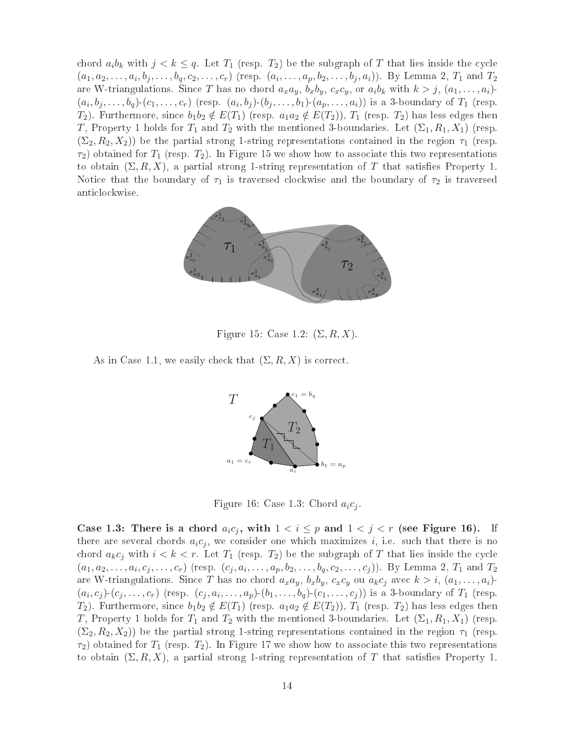chord  $a_i b_k$  with  $j < k \leq q$ . Let  $T_1$  (resp.  $T_2$ ) be the subgraph of T that lies inside the cycle  $(a_1, a_2, \ldots, a_i, b_j, \ldots, b_q, c_2, \ldots, c_r)$  (resp.  $(a_i, \ldots, a_p, b_2, \ldots, b_j, a_i)$ ). By Lemma 2,  $T_1$  and  $T_2$ are W-triangulations. Since T has no chord  $a_x a_y$ ,  $b_x b_y$ ,  $c_x c_y$ , or  $a_i b_k$  with  $k > j$ ,  $(a_1, \ldots, a_i)$ - $(a_i, b_j, \ldots, b_q)$ - $(c_1, \ldots, c_r)$  (resp.  $(a_i, b_j)$ - $(b_j, \ldots, b_1)$ - $(a_p, \ldots, a_i)$ ) is a 3-boundary of  $T_1$  (resp.  $T_2$ ). Furthermore, since  $b_1b_2 \notin E(T_1)$  (resp.  $a_1a_2 \notin E(T_2)$ ),  $T_1$  (resp.  $T_2$ ) has less edges then T, Property 1 holds for  $T_1$  and  $T_2$  with the mentioned 3-boundaries. Let  $(\Sigma_1, R_1, X_1)$  (resp.  $(\Sigma_2, R_2, X_2)$ ) be the partial strong 1-string representations contained in the region  $\tau_1$  (resp.  $\tau_2$ ) obtained for  $T_1$  (resp.  $T_2$ ). In Figure 15 we show how to associate this two representations to obtain  $(\Sigma, R, X)$ , a partial strong 1-string representation of T that satisfies Property 1. Notice that the boundary of  $\tau_1$  is traversed clockwise and the boundary of  $\tau_2$  is traversed anti
lo
kwise.



Figure 15: Case 1.2:  $(\Sigma, R, X)$ .

As in Case 1.1, we easily check that  $(\Sigma, R, X)$  is correct.



Figure 16: Case 1.3: Chord  $a_i c_j$ .

Case 1.3: There is a chord  $a_i c_j$ , with  $1 < i \leq p$  and  $1 < j < r$  (see Figure 16). If there are several chords  $a_i c_j$ , we consider one which maximizes i, i.e. such that there is no chord  $a_k c_j$  with  $i < k < r$ . Let  $T_1$  (resp.  $T_2$ ) be the subgraph of T that lies inside the cycle  $(a_1, a_2, \ldots, a_i, c_j, \ldots, c_r)$  (resp.  $(c_j, a_i, \ldots, a_p, b_2, \ldots, b_q, c_2, \ldots, c_j)$ ). By Lemma 2,  $T_1$  and  $T_2$ are W-triangulations. Since  $T$  has no chord  $a_xa_y$ ,  $b_xb_y$ ,  $c_xc_y$  ou  $a_kc_j$  avec  $k>i$ ,  $(a_1,\ldots,a_i)$ - $(a_i,c_j)(c_j,\ldots,c_r)$  (resp.  $(c_j,a_i,\ldots,a_p)(b_1,\ldots,b_q)(c_1,\ldots,c_j)$ ) is a 3-boundary of  $T_1$  (resp.  $T_2$ ). Furthermore, since  $b_1b_2 \notin E(T_1)$  (resp.  $a_1a_2 \notin E(T_2)$ ),  $T_1$  (resp.  $T_2$ ) has less edges then T, Property 1 holds for  $T_1$  and  $T_2$  with the mentioned 3-boundaries. Let  $(\Sigma_1, R_1, X_1)$  (resp.  $(\Sigma_2, R_2, X_2)$ ) be the partial strong 1-string representations contained in the region  $\tau_1$  (resp.  $\tau_2$ ) obtained for  $T_1$  (resp.  $T_2$ ). In Figure 17 we show how to associate this two representations to obtain  $(\Sigma, R, X)$ , a partial strong 1-string representation of T that satisfies Property 1.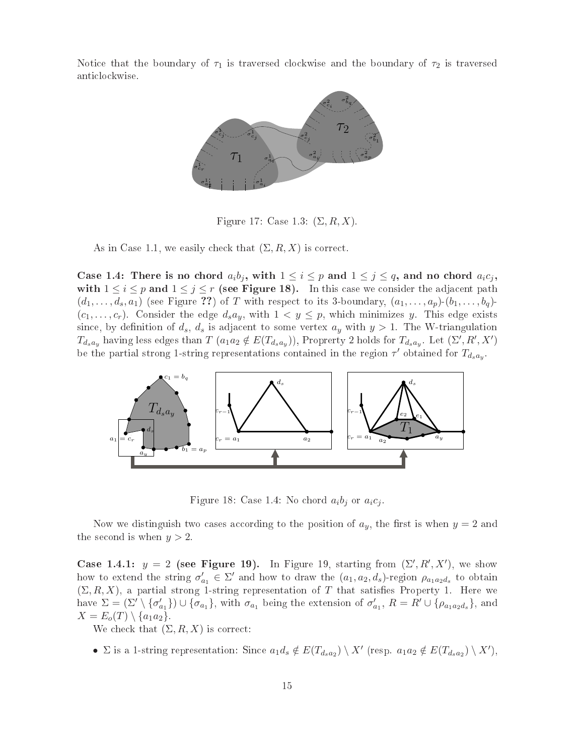Notice that the boundary of  $\tau_1$  is traversed clockwise and the boundary of  $\tau_2$  is traversed anti
lo
kwise.



Figure 17: Case 1.3:  $(\Sigma, R, X)$ .

As in Case 1.1, we easily check that  $(\Sigma, R, X)$  is correct.

Case 1.4: There is no chord  $a_ib_j$ , with  $1 \leq i \leq p$  and  $1 \leq j \leq q$ , and no chord  $a_ic_j$ , with  $1 \leq i \leq p$  and  $1 \leq j \leq r$  (see Figure 18). In this case we consider the adjacent path  $(d_1, \ldots, d_s, a_1)$  (see Figure ??) of T with respect to its 3-boundary,  $(a_1, \ldots, a_p)(b_1, \ldots, b_q)$  $(c_1, \ldots, c_r)$ . Consider the edge  $d_s a_y$ , with  $1 < y \leq p$ , which minimizes y. This edge exists since, by definition of  $d_s$ ,  $d_s$  is adjacent to some vertex  $a_y$  with  $y > 1$ . The W-triangulation  $T_{dsay}$  having less edges than  $T(a_1a_2 \notin E(T_{dsay}))$ , Proprerty 2 holds for  $T_{dsay}$ . Let  $(\Sigma', R', X')$ be the partial strong 1-string representations contained in the region  $\tau'$  obtained for  $T_{d_s a_y}$ .



Figure 18: Case 1.4: No chord  $a_i b_j$  or  $a_i c_j$ .

Now we distinguish two cases according to the position of  $a_y$ , the first is when  $y = 2$  and the second is when  $y > 2$ 

Case 1.4.1:  $y = 2$  (see Figure 19). In Figure 19, starting from  $(\Sigma', R', X')$ , we show how to extend the string  $\sigma'$  $a_1 \in \Sigma'$  and how to draw the  $(a_1, a_2, d_s)$ -region  $\rho_{a_1 a_2 d_s}$  to obtain  $(\Sigma, R, X)$ , a partial strong 1-string representation of T that satisfies Property 1. Here we have  $\Sigma = (\Sigma') \setminus {\sigma'_c}$  $\{\sigma_{a_1}\}\right) \cup \{\sigma_{a_1}\}\$ , with  $\sigma_{a_1}$  being the extension of  $\sigma'_{a_1}$  $a_1, R = R' \cup \{\rho_{a_1 a_2 d_s}\}, \text{and}$  $X = E_o(T) \setminus \{a_1 a_2\}.$ 

We check that  $(\Sigma, R, X)$  is correct:

•  $\Sigma$  is a 1-string representation: Since  $a_1d_s \notin E(T_{d_sa_2}) \setminus X'$  (resp.  $a_1a_2 \notin E(T_{d_sa_2}) \setminus X'$ ),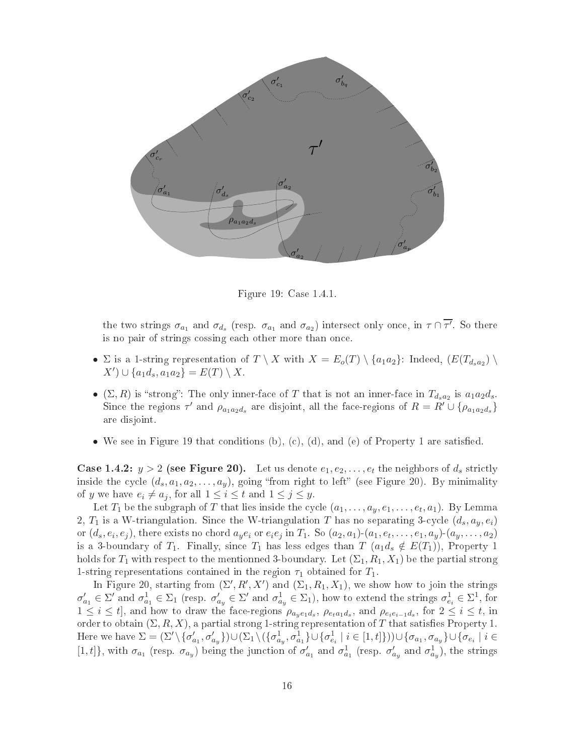

Figure 19: Case 1.4.1.

the two strings  $\sigma_{a_1}$  and  $\sigma_{d_s}$  (resp.  $\sigma_{a_1}$  and  $\sigma_{a_2}$ ) intersect only once, in  $\tau \cap \overline{\tau'}$ . So there is no pair of strings cossing each other more than once.

- $\Sigma$  is a 1-string representation of  $T \setminus X$  with  $X = E_o(T) \setminus \{a_1 a_2\}$ : Indeed,  $(E(T_{d_s a_2}) \setminus E(T_{d_s a_3})$  $(X') \cup \{a_1 d_s, a_1 a_2\} = E(T) \setminus X.$
- $(\Sigma, R)$  is "strong": The only inner-face of T that is not an inner-face in  $T_{d_s a_2}$  is  $a_1 a_2 d_s$ . Since the regions  $\tau'$  and  $\rho_{a_1 a_2 d_s}$  are disjoint, all the face-regions of  $R = R' \cup \{\rho_{a_1 a_2 d_s}\}$ are disjoint.
- We see in Figure 19 that conditions (b), (c), (d), and (e) of Property 1 are satisfied.

**Case 1.4.2:**  $y > 2$  (see Figure 20). Let us denote  $e_1, e_2, \ldots, e_t$  the neighbors of  $d_s$  strictly inside the cycle  $(d_s, a_1, a_2, \ldots, a_y)$ , going "from right to left" (see Figure 20). By minimality of y we have  $e_i \neq a_j$ , for all  $1 \leq i \leq t$  and  $1 \leq j \leq y$ .

Let  $T_1$  be the subgraph of  $T$  that lies inside the cycle  $(a_1,\ldots,a_y,e_1,\ldots,e_t,a_1)$ . By Lemma 2,  $T_1$  is a W-triangulation. Since the W-triangulation T has no separating 3-cycle  $(d_s, a_y, e_i)$ or  $(d_s,e_i,e_j)$ , there exists no chord  $a_ye_i$  or  $e_ie_j$  in  $T_1$ . So  $(a_2,a_1)$ - $(a_1,e_t,\ldots,e_1,a_y)$ - $(a_y,\ldots,a_2)$ is a 3-boundary of  $T_1$ . Finally, since  $T_1$  has less edges than  $T$   $(a_1d_s \notin E(T_1))$ , Property 1 holds for  $T_1$  with respect to the mentionned 3-boundary. Let  $(\Sigma_1, R_1, X_1)$  be the partial strong 1-string representations contained in the region  $\tau_1$  obtained for  $T_1$ .

In Figure 20, starting from  $(\Sigma', R', X')$  and  $(\Sigma_1, R_1, X_1)$ , we show how to join the strings  $\sigma'_{c}$  $a_1 \in \Sigma'$  and  $\sigma_{a_1}^1 \in \Sigma_1$  (resp.  $\sigma_{a_y} \in \Sigma'$  and  $\sigma_{a_y}^1 \in \Sigma_1$ ), how to extend the strings  $\sigma_{e_i}^1 \in \Sigma^1$ , for  $1 \leq i \leq t$ , and how to draw the face-regions  $\rho_{a_ye_1d_s}$ ,  $\rho_{e_t a_1d_s}$ , and  $\rho_{e_ie_{i-1}d_s}$ , for  $2 \leq i \leq t$ , in order to obtain  $(\Sigma, R, X)$ , a partial strong 1-string representation of T that satisfies Property 1. Here we have  $\Sigma = (\Sigma' \setminus {\sigma'_c})$  $\{a_1,a_2',a_y'\} \cup (\Sigma_1 \backslash (\{\sigma^1_{a_y},\sigma^1_{a_1}\} \cup \{\sigma^1_{e_i} \mid i \in [1,t]\})) \cup \{\sigma_{a_1},\sigma_{a_y}\} \cup \{\sigma_{e_i} \mid i \in [1,t]\})$ [1, t]}, with  $\sigma_{a_1}$  (resp.  $\sigma_{a_y}$ ) being the junction of  $\sigma'_{c}$  $a_1$  and  $\sigma_{a_1}^1$  (resp.  $\sigma_a^{\prime}$  $a_y'$  and  $\sigma_{ay}^1$ ), the strings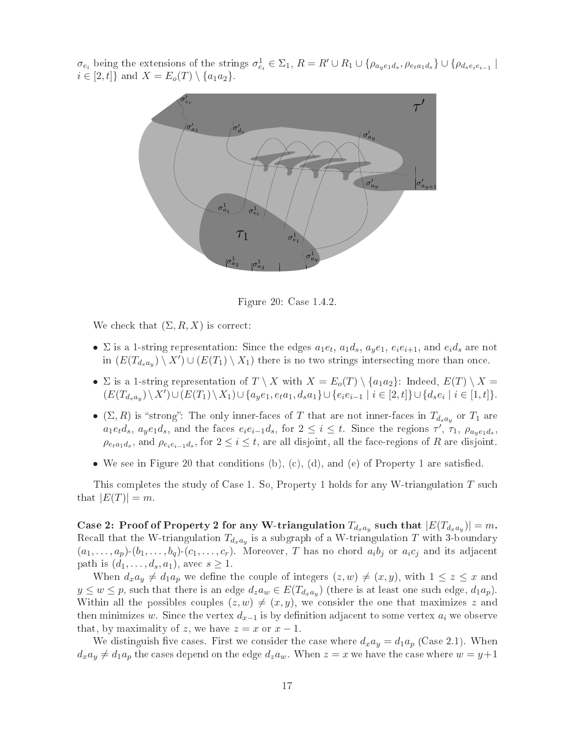$\sigma_{e_i}$  being the extensions of the strings  $\sigma_{e_i}^1 \in \Sigma_1$ ,  $R = R' \cup R_1 \cup \{\rho_{a_y e_1 d_s}, \rho_{e_t a_1 d_s}\} \cup \{\rho_{d_s e_i e_{i-1}}\}$  $i \in [2, t]$  and  $X = E_o(T) \setminus \{a_1 a_2\}.$ 

![](_page_16_Figure_1.jpeg)

Figure 20: Case 1.4.2.

We check that  $(\Sigma, R, X)$  is correct:

- $\Sigma$  is a 1-string representation: Since the edges  $a_1e_t$ ,  $a_1d_s$ ,  $a_ye_1$ ,  $e_ie_{i+1}$ , and  $e_id_s$  are not in  $(E(T_{d_s a_y}) \setminus X') \cup (E(T_1) \setminus X_1)$  there is no two strings intersecting more than once.
- $\Sigma$  is a 1-string representation of  $T \setminus X$  with  $X = E_o(T) \setminus \{a_1a_2\}$ : Indeed,  $E(T) \setminus X =$  $(E(T_{d_s a_y}) \setminus X') \cup (E(T_1) \setminus X_1) \cup \{a_y e_1, e_t a_1, d_s a_1\} \cup \{e_i e_{i-1} \mid i \in [2, t]\} \cup \{d_s e_i \mid i \in [1, t]\}.$
- $(\Sigma, R)$  is "strong": The only inner-faces of T that are not inner-faces in  $T_{d_s a_y}$  or  $T_1$  are  $a_1e_t d_s$ ,  $a_ye_1 d_s$ , and the faces  $e_ie_{i-1}d_s$ , for  $2 \leq i \leq t$ . Since the regions  $\tau'$ ,  $\tau_1$ ,  $\rho_{a_ye_1d_s}$ ,  $\rho_{e_t a_1 d_s}$ , and  $\rho_{e_i e_{i-1} d_s}$ , for  $2 \leq i \leq t$ , are all disjoint, all the face-regions of R are disjoint.
- We see in Figure 20 that conditions (b), (c), (d), and (e) of Property 1 are satisfied.

This completes the study of Case 1. So, Property 1 holds for any W-triangulation T such that  $|E(T)| = m$ .

Case 2: Proof of Property 2 for any W-triangulation  $T_{d_x a_y}$  such that  $|E(T_{d_x a_y})| = m.$ Recall that the W-triangulation  $T_{d_x a_y}$  is a subgraph of a W-triangulation  $T$  with 3-boundary  $(a_1,\ldots,a_p)(b_1,\ldots,b_q)$   $(c_1,\ldots,c_r)$ . Moreover, T has no chord  $a_ib_j$  or  $a_ic_j$  and its adjacent path is  $(d_1, \ldots, d_s, a_1)$ , avec  $s \geq 1$ .

When  $d_x a_y \neq d_1 a_p$  we define the couple of integers  $(z, w) \neq (x, y)$ , with  $1 \leq z \leq x$  and  $y \leq w \leq p$ , such that there is an edge  $d_z a_w \in E(T_{d_x a_y})$  (there is at least one such edge,  $d_1 a_p$ ). Within all the possibles couples  $(z, w) \neq (x, y)$ , we consider the one that maximizes z and then minimizes w. Since the vertex  $d_{x-1}$  is by definition adjacent to some vertex  $a_i$  we observe that, by maximality of z, we have  $z = x$  or  $x - 1$ .

We distinguish five cases. First we consider the case where  $d_x a_y = d_1 a_p$  (Case 2.1). When  $d_x a_y \neq d_1 a_p$  the cases depend on the edge  $d_z a_w$ . When  $z = x$  we have the case where  $w = y+1$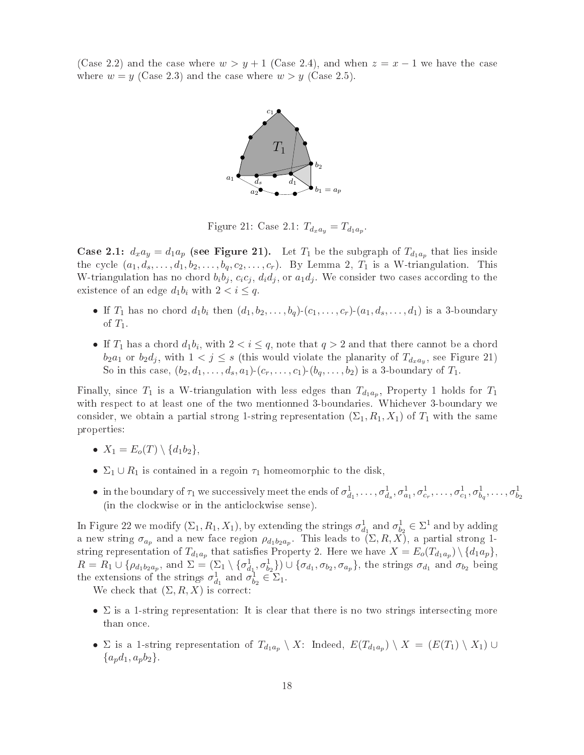(Case 2.2) and the case where  $w > y + 1$  (Case 2.4), and when  $z = x - 1$  we have the case where  $w = y$  (Case 2.3) and the case where  $w > y$  (Case 2.5).

![](_page_17_Figure_1.jpeg)

Figure 21: Case 2.1:  $T_{d_x a_y} = T_{d_1 a_p}$ .

**Case 2.1:**  $d_x a_y = d_1 a_p$  (see Figure 21). Let  $T_1$  be the subgraph of  $T_{d_1 a_p}$  that lies inside the cycle  $(a_1, d_s, \ldots, d_1, b_2, \ldots, b_q, c_2, \ldots, c_r)$ . By Lemma 2,  $T_1$  is a W-triangulation. This W-triangulation has no chord  $b_i b_j$ ,  $c_i c_j$ ,  $d_i d_j$ , or  $a_1 d_j$ . We consider two cases according to the existence of an edge  $d_1b_i$  with  $2 < i \leq q$ .

- If  $T_1$  has no chord  $d_1b_i$  then  $(d_1, b_2, \ldots, b_q)$ - $(c_1, \ldots, c_r)$ - $(a_1, d_s, \ldots, d_1)$  is a 3-boundary of  $T_1$ .
- If  $T_1$  has a chord  $d_1b_i$ , with  $2 < i \leq q$ , note that  $q > 2$  and that there cannot be a chord  $b_2a_1$  or  $b_2d_j$ , with  $1 < j \leq s$  (this would violate the planarity of  $T_{d_xa_y}$ , see Figure 21) So in this case,  $(b_2, d_1, \ldots, d_s, a_1)$ - $(c_r, \ldots, c_1)$ - $(b_q, \ldots, b_2)$  is a 3-boundary of  $T_1$ .

Finally, since  $T_1$  is a W-triangulation with less edges than  $T_{d_1a_p}$ , Property 1 holds for  $T_1$ with respect to at least one of the two mentionned 3-boundaries. Whichever 3-boundary we consider, we obtain a partial strong 1-string representation  $(\Sigma_1, R_1, X_1)$  of  $T_1$  with the same properties:

- $X_1 = E_o(T) \setminus \{d_1b_2\},\,$
- $\Sigma_1 \cup R_1$  is contained in a regoin  $\tau_1$  homeomorphic to the disk,
- in the boundary of  $\tau_1$  we successively meet the ends of  $\sigma^1_{d_1},\ldots,\sigma^1_{d_s},\sigma^1_{a_1},\sigma^1_{c_r},\ldots,\sigma^1_{c_1},\sigma^1_{b_q},\ldots,\sigma^1_{b_2}$ (in the lo
kwise or in the anti
lo
kwise sense).

In Figure 22 we modify  $(\Sigma_1, R_1, X_1)$ , by extending the strings  $\sigma_{d_1}^1$  and  $\sigma_{b_2}^1 \in \Sigma^1$  and by adding a new string  $\sigma_{a_p}$  and a new face region  $\rho_{d_1b_2a_p}$ . This leads to  $(\Sigma, R, X)$ , a partial strong 1string representation of  $T_{d_1a_p}$  that satisfies Property 2. Here we have  $X=E_o(T_{d_1a_p})\setminus\{d_1a_p\},$  $R = R_1 \cup \{\rho_{d_1b_2a_p}, \text{ and } \Sigma = (\Sigma_1 \setminus {\{\sigma_{d_1}^1, \sigma_{b_2}^1\}}) \cup {\{\sigma_{d_1}, \sigma_{b_2}, \sigma_{a_p}\}}, \text{ the strings } \sigma_{d_1} \text{ and } \sigma_{b_2} \text{ being}$ the extensions of the strings  $\sigma_{d_1}^1$  and  $\sigma_{b_2}^1 \in \Sigma_1$ .

We check that  $(\Sigma, R, X)$  is correct:

- $\Sigma$  is a 1-string representation: It is clear that there is no two strings intersecting more than on
e.
- $\Sigma$  is a 1-string representation of  $T_{d_1a_p} \setminus X$ : Indeed,  $E(T_{d_1a_p}) \setminus X = (E(T_1) \setminus X_1) \cup$  ${a_n d_1, a_n b_2}.$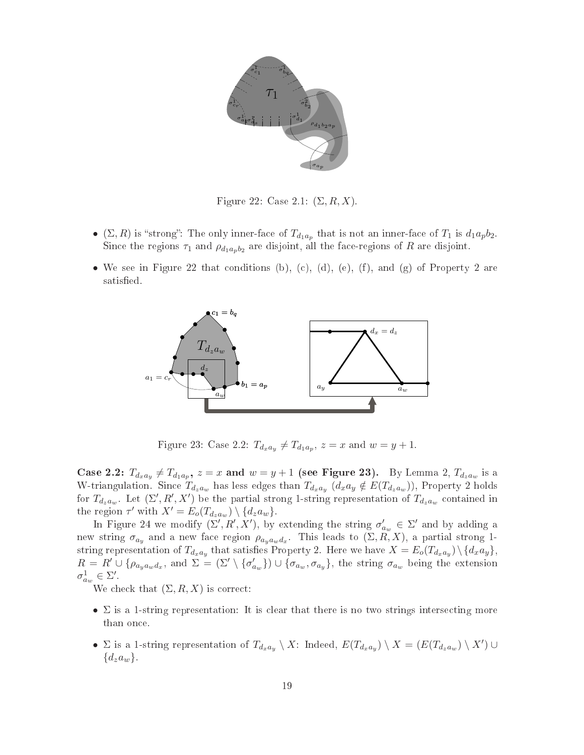![](_page_18_Figure_0.jpeg)

Figure 22: Case 2.1:  $(\Sigma, R, X)$ .

- $(\Sigma, R)$  is "strong": The only inner-face of  $T_{d_1a_p}$  that is not an inner-face of  $T_1$  is  $d_1a_pb_2$ . Since the regions  $\tau_1$  and  $\rho_{d_1a_pb_2}$  are disjoint, all the face-regions of R are disjoint.
- We see in Figure 22 that conditions (b), (c), (d), (e), (f), and (g) of Property 2 are satisfied.

![](_page_18_Figure_4.jpeg)

Figure 23: Case 2.2:  $T_{d_x a_y} \neq T_{d_1 a_p}$ ,  $z = x$  and  $w = y + 1$ .

Case 2.2:  $T_{d_x a_y} \neq T_{d_1 a_p}$ ,  $z = x$  and  $w = y + 1$  (see Figure 23). By Lemma 2,  $T_{d_z a_w}$  is a W-triangulation. Since  $T_{d_za_w}$  has less edges than  $T_{d_xa_y}$   $(d_xa_y \notin E(T_{d_za_w}))$ , Property 2 holds for  $T_{d_za_w}$ . Let  $(\Sigma', R', X')$  be the partial strong 1-string representation of  $T_{d_za_w}$  contained in the region  $\tau'$  with  $X' = E_o(T_{d_zaw}) \setminus \{d_za_w\}.$ 

In Figure 24 we modify  $(\Sigma', R', X')$ , by extending the string  $\sigma'$  $a_w \in \Sigma'$  and by adding a new string  $\sigma_{a_y}$  and a new face region  $\rho_{a_y a_w d_x}$ . This leads to  $(\Sigma, R, X)$ , a partial strong 1string representation of  $T_{d_xa_y}$  that satisfies Property 2. Here we have  $X=E_o(T_{d_xa_y})\,\backslash\,\{d_xa_y\},$  $R = R' \cup \{\rho_{a_y a_w d_x}, \text{ and } \Sigma = (\Sigma' \setminus {\sigma'_c})\}$  $\{ \sigma_{a_w} \}$ )  $\cup$   $\{ \sigma_{a_w}, \sigma_{a_y} \},$  the string  $\sigma_{a_w}$  being the extension  $\sigma_{a_w}^1 \in \Sigma'.$ <br>We check that  $(\Sigma, R, X)$  is correct:

- $\Sigma$  is a 1-string representation: It is clear that there is no two strings intersecting more than on
e.
- $\Sigma$  is a 1-string representation of  $T_{d_x a_y} \setminus X$ : Indeed,  $E(T_{d_x a_y}) \setminus X = (E(T_{d_z a_w}) \setminus X') \cup X'$  ${d_za_w}.$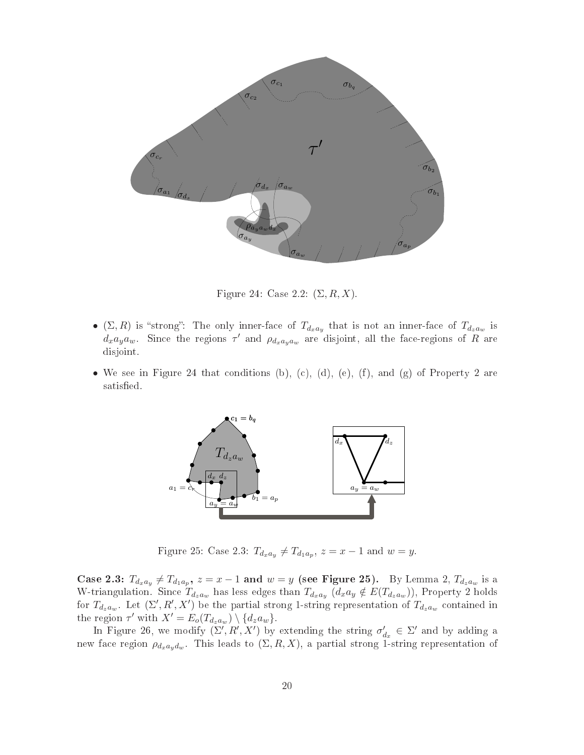![](_page_19_Figure_0.jpeg)

Figure 24: Case 2.2:  $(\Sigma, R, X)$ .

- (Σ, R) is "strong": The only inner-face of  $T_{d_x a_y}$  that is not an inner-face of  $T_{d_z a_w}$  is  $d_x a_y a_w$ . Since the regions  $\tau'$  and  $\rho_{d_x a_y a_w}$  are disjoint, all the face-regions of R are disjoint.
- We see in Figure 24 that conditions (b), (c), (d), (e), (f), and (g) of Property 2 are satisfied.

![](_page_19_Figure_4.jpeg)

Figure 25: Case 2.3:  $T_{d_x a_y} \neq T_{d_1 a_p}$ ,  $z = x - 1$  and  $w = y$ .

Case 2.3:  $T_{d_x a_y} \neq T_{d_1 a_p}, z = x - 1$  and  $w = y$  (see Figure 25). By Lemma 2,  $T_{d_z a_w}$  is a W-triangulation. Since  $T_{d_za_w}$  has less edges than  $T_{d_xa_y}$   $(d_xa_y \notin E(T_{d_za_w}))$ , Property 2 holds for  $T_{d_za_w}$ . Let  $(\Sigma', R', X')$  be the partial strong 1-string representation of  $T_{d_za_w}$  contained in the region  $\tau'$  with  $X' = E_o(T_{d_z a_w}) \setminus \{d_z a_w\}.$ 

In Figure 26, we modify  $(\Sigma', R', X')$  by extending the string  $\sigma'$  $d_x \in \Sigma'$  and by adding a new face region  $\rho_{d_x a_y d_w}$ . This leads to  $(\Sigma, R, X),$  a partial strong 1-string representation of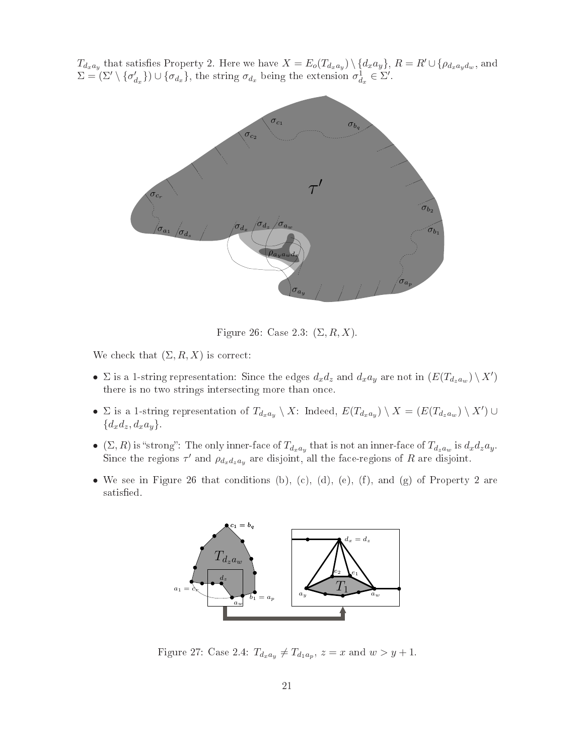$T_{d_x a_y}$  that satisfies Property 2. Here we have  $X = E_o(T_{d_x a_y}) \setminus \{d_x a_y\}, R = R' \cup \{\rho_{d_x a_y d_w}, \text{ and } \Sigma = (\Sigma' \setminus {\{\sigma'_{d_x}\}} \cup {\{\sigma_{d_x}\}}, \text{ the string } \sigma_{d_x} \text{ being the extension } \sigma^1_{d_x} \in \Sigma'.$  $\{\sigma_{d_x}\}\cup\{\sigma_{d_x}\}\$ , the string  $\sigma_{d_x}$  being the extension  $\sigma_{d_x}^1 \in \Sigma'$ .

![](_page_20_Figure_1.jpeg)

Figure 26: Case 2.3:  $(\Sigma, R, X)$ .

We check that  $(\Sigma, R, X)$  is correct:

- $\Sigma$  is a 1-string representation: Since the edges  $d_x d_z$  and  $d_x a_y$  are not in  $(E(T_{d_z a_w}) \setminus X')$ there is no two strings intersecting more than once.
- $\Sigma$  is a 1-string representation of  $T_{d_x a_y} \setminus X$ : Indeed,  $E(T_{d_x a_y}) \setminus X = (E(T_{d_z a_w}) \setminus X') \cup X'$  ${d_xd_z, d_xa_y}$
- $(\Sigma, R)$  is "strong": The only inner-face of  $T_{d_x a_y}$  that is not an inner-face of  $T_{d_z a_w}$  is  $d_x d_z a_y$ .<br>Since the persians  $\tau'$  and a sum disjoint all the face persians of B are disjoint. Since the regions  $\tau'$  and  $\rho_{d_x d_z a_y}$  are disjoint, all the face-regions of R are disjoint.
- We see in Figure 26 that conditions (b), (c), (d), (e), (f), and (g) of Property 2 are satisfied.

![](_page_20_Figure_8.jpeg)

Figure 27: Case 2.4:  $T_{d_x a_y} \neq T_{d_1 a_p}$ ,  $z = x$  and  $w > y + 1$ .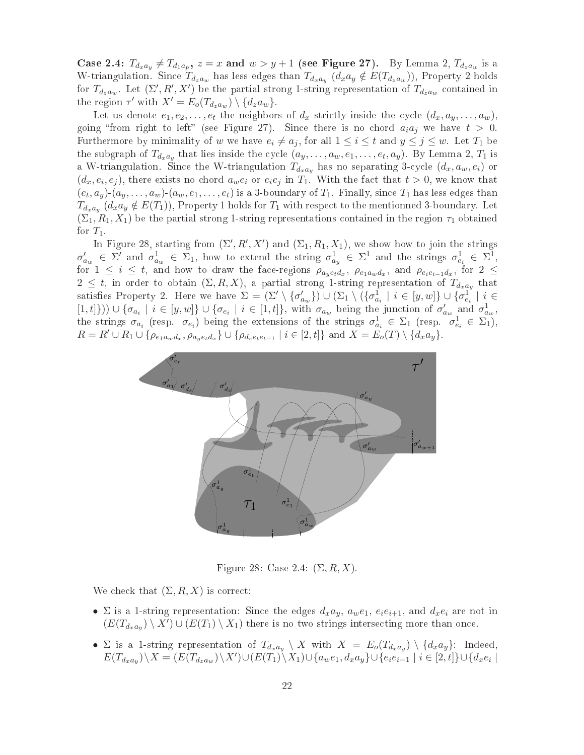Case 2.4:  $T_{d_x a_y} \neq T_{d_1 a_p}$ ,  $z = x$  and  $w > y + 1$  (see Figure 27). By Lemma 2,  $T_{d_z a_w}$  is a W-triangulation. Since  $T_{d_za_w}$  has less edges than  $T_{d_xa_y}$   $(d_xa_y \notin E(T_{d_za_w}))$ , Property 2 holds for  $T_{d_za_w}$ . Let  $(\Sigma', R', X')$  be the partial strong 1-string representation of  $T_{d_za_w}$  contained in the region  $\tau'$  with  $X' = E_o(T_{d_z a_w}) \setminus \{d_z a_w\}.$ 

Let us denote  $e_1, e_2, \ldots, e_t$  the neighbors of  $d_x$  strictly inside the cycle  $(d_x, a_y, \ldots, a_w)$ , going "from right to left" (see Figure 27). Since there is no chord  $a_i a_j$  we have  $t > 0$ . Furthermore by minimality of w we have  $e_i \neq a_j$ , for all  $1 \leq i \leq t$  and  $y \leq j \leq w$ . Let  $T_1$  be the subgraph of  $T_{d_x a_y}$  that lies inside the cycle  $(a_y, \ldots, a_w, e_1, \ldots, e_t, a_y)$ . By Lemma 2,  $T_1$  is a W-triangulation. Since the W-triangulation  $T_{d_x a_y}$  has no separating 3-cycle  $(d_x, a_w, e_i)$  or  $(d_x, e_i, e_j)$ , there exists no chord  $a_w e_i$  or  $e_i e_j$  in  $T_1$ . With the fact that  $t > 0$ , we know that  $(e_t, a_y)$ - $(a_y, \ldots, a_w)$ - $(a_w, e_1, \ldots, e_t)$  is a 3-boundary of  $T_1$ . Finally, since  $T_1$  has less edges than  $T_{d_x a_y}$   $(d_x a_y \notin E(T_1))$ , Property 1 holds for  $T_1$  with respect to the mentionned 3-boundary. Let  $(\Sigma_1, R_1, X_1)$  be the partial strong 1-string representations contained in the region  $\tau_1$  obtained for  $T_1$ .

In Figure 28, starting from  $(\Sigma', R', X')$  and  $(\Sigma_1, R_1, X_1)$ , we show how to join the strings  $\sigma'_{c}$  $\alpha_{aw} \in \Sigma'$  and  $\sigma_{aw}^1 \in \Sigma_1$ , how to extend the string  $\sigma_{ay}^1 \in \Sigma^1$  and the strings  $\sigma_{e_i}^1 \in \Sigma^1$ , for  $1 \leq i \leq t$ , and how to draw the face-regions  $\rho_{a_y e_t d_x}$ ,  $\rho_{e_1 a_w d_x}$ , and  $\rho_{e_i e_{i-1} d_x}$ , for  $2 \leq$  $2 \leq t$ , in order to obtain  $(\Sigma, R, X)$ , a partial strong 1-string representation of  $T_{d_x a_y}$  that satisfies Property 2. Here we have  $\Sigma = (\Sigma' \setminus {\sigma'_c})$  $\{a_w^l\}) \cup (\Sigma_1 \setminus (\{\sigma^1_{a_i} \mid i \in [y,w]\} \cup \{\sigma^1_{e_i} \mid i \in$  $[1,t]\})\cup\{\sigma_{a_i}\mid i\in[y,w]\}\cup\{\sigma_{e_i}\mid i\in[1,t]\},\$  with  $\sigma_{a_w}$  being the junction of  $\sigma'_{c}$  $a_w$  and  $\sigma_{a_w}^1$ , the strings  $\sigma_{a_i}$  (resp.  $\sigma_{e_i}$ ) being the extensions of the strings  $\sigma_{a_i}^1 \in \Sigma_1$  (resp.  $\sigma_{e_i}^1 \in \Sigma_1$ ),  $R = R' \cup R_1 \cup {\rho_{e_1 a_w d_x, \rho_{a_y e_t d_x}} \} \cup {\rho_{d_s e_t e_{t-1}} \mid i \in [2, t]}$  and  $X = E_o(T) \setminus {d_x a_y}.$ 

![](_page_21_Figure_3.jpeg)

Figure 28: Case 2.4:  $(\Sigma, R, X)$ .

We check that  $(\Sigma, R, X)$  is correct:

- $\Sigma$  is a 1-string representation: Since the edges  $d_x a_y$ ,  $a_w e_1$ ,  $e_i e_{i+1}$ , and  $d_x e_i$  are not in  $(E(T_{d_xa_y})\setminus X')\cup (E(T_1)\setminus X_1)$  there is no two strings intersecting more than once.
- $\Sigma$  is a 1-string representation of  $T_{d_x a_y} \setminus X$  with  $X = E_o(T_{d_x a_y}) \setminus \{d_x a_y\}$ : Indeed,  $E(T_{d_xa_y})\setminus X = (E(T_{d_za_w})\setminus X')\cup (E(T_1)\setminus X_1)\cup \{a_we_1,d_xa_y\} \cup \{e_ie_{i-1} \mid i \in [2,t]\} \cup \{d_xe_i \mid e_i\}$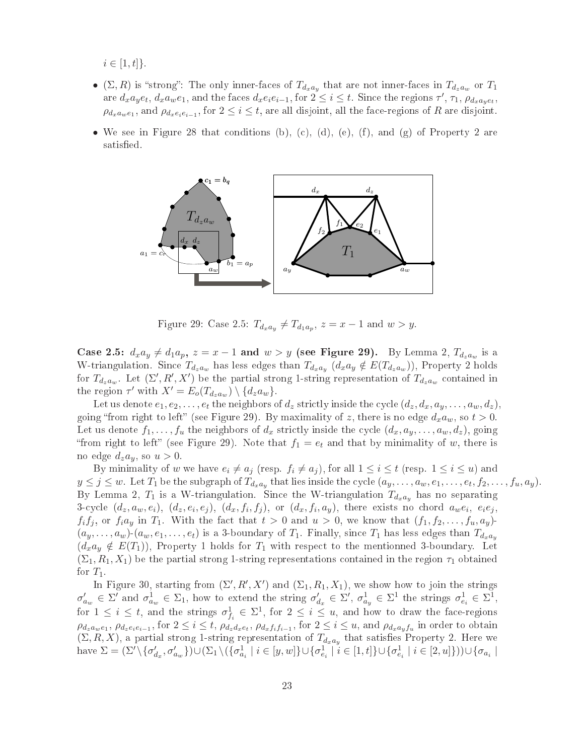$i \in [1, t]$ .

- $\bullet$  ( $\Sigma, R$ ) is "strong": The only inner-faces of  $T_{d_x a_y}$  that are not inner-faces in  $T_{d_z a_w}$  or  $T_1$ are  $d_x a_y e_t$ ,  $d_x a_w e_1$ , and the faces  $d_x e_i e_{i-1}$ , for  $2 \leq i \leq t$ . Since the regions  $\tau'$ ,  $\tau_1$ ,  $\rho_{d_x a_y e_t}$ ,  $\rho_{d_x a_w e_1}$ , and  $\rho_{d_x e_i e_{i-1}}$ , for  $2 \leq i \leq t$ , are all disjoint, all the face-regions of R are disjoint.
- We see in Figure 28 that conditions (b), (c), (d), (e), (f), and (g) of Property 2 are satisfied.

![](_page_22_Figure_3.jpeg)

Figure 29: Case 2.5:  $T_{d_x a_y} \neq T_{d_1 a_p}$ ,  $z = x - 1$  and  $w > y$ .

Case 2.5:  $d_x a_y \neq d_1 a_p$ ,  $z = x - 1$  and  $w > y$  (see Figure 29). By Lemma 2,  $T_{d_z a_w}$  is a W-triangulation. Since  $T_{d_xa_w}$  has less edges than  $T_{d_xa_y}$   $(d_xa_y \notin E(T_{d_za_w}))$ , Property 2 holds for  $T_{d_za_w}$ . Let  $(\Sigma', R', X')$  be the partial strong 1-string representation of  $T_{d_za_w}$  contained in the region  $\tau'$  with  $X' = E_o(T_{d_z a_w}) \setminus \{d_z a_w\}.$ 

Let us denote  $e_1, e_2, \ldots, e_t$  the neighbors of  $d_z$  strictly inside the cycle  $(d_z, d_x, a_y, \ldots, a_w, d_z)$ . going "from right to left" (see Figure 29). By maximality of z, there is no edge  $d_x a_w$ , so  $t > 0$ . Let us denote  $f_1, \ldots, f_u$  the neighbors of  $d_x$  strictly inside the cycle  $(d_x, a_y, \ldots, a_w, d_z)$ , going "from right to left" (see Figure 29). Note that  $f_1 = e_t$  and that by minimality of w, there is no edge  $d_za_y$ , so  $u > 0$ .

By minimality of w we have  $e_i \neq a_j$  (resp.  $f_i \neq a_j$ ), for all  $1 \leq i \leq t$  (resp.  $1 \leq i \leq u$ ) and  $y \leq j \leq w$ . Let  $T_1$  be the subgraph of  $T_{d_xa_y}$  that lies inside the cycle  $(a_y, \ldots, a_w, e_1, \ldots, e_t, f_2, \ldots, f_u, a_y)$ . By Lemma 2,  $T_1$  is a W-triangulation. Since the W-triangulation  $T_{d_x a_y}$  has no separating 3-cycle  $(d_z,a_w,e_i),\ (d_z,e_i,e_j),\ (d_x,f_i,f_j),$  or  $(d_x,f_i,a_y),$  there exists no chord  $a_we_i,\ e_ie_j,$  $f_i f_j$ , or  $f_i a_y$  in  $T_1$ . With the fact that  $t > 0$  and  $u > 0$ , we know that  $(f_1, f_2, \ldots, f_u, a_y)$  $(a_y, \ldots, a_w)$   $(a_w, e_1, \ldots, e_t)$  is a 3-boundary of  $T_1$ . Finally, since  $T_1$  has less edges than  $T_{d_x a_y}$  $(d_x a_y \notin E(T_1))$ , Property 1 holds for  $T_1$  with respect to the mentionned 3-boundary. Let  $(\Sigma_1, R_1, X_1)$  be the partial strong 1-string representations contained in the region  $\tau_1$  obtained for  $T_1$ .

In Figure 30, starting from  $(\Sigma', R', X')$  and  $(\Sigma_1, R_1, X_1)$ , we show how to join the strings  $\sigma'_{a_w} \in \Sigma'$  and  $\sigma^1_{a_w} \in \Sigma_1$ , how to extend the string  $\sigma'_{a_w}$  $d_x$   $\in \Sigma', \sigma^1_{a_y} \in \Sigma^1$  the strings  $\sigma^1_{e_i} \in \Sigma^1$ , for  $1 \leq i \leq t$ , and the strings  $\sigma_{f_i}^1 \in \Sigma^1$ , for  $2 \leq i \leq u$ , and how to draw the face-regions  $\rho_{d_za_we_1},\,\rho_{d_ze_ie_{i-1}},$  for  $2\leq i\leq t$ ,  $\rho_{d_zd_xe_t},\,\rho_{d_xf_if_{i-1}},$  for  $2\leq i\leq u,$  and  $\rho_{d_xa_yf_u}$  in order to obtain  $(\Sigma, R, X)$ , a partial strong 1-string representation of  $T_{d_x a_y}$  that satisfies Property 2. Here we have  $\Sigma = (\Sigma' \setminus {\sigma'_c})$  $\{\sigma_{d_x}, \sigma'_{d_w}\}\big) \cup (\Sigma_1 \setminus (\{\sigma_{d_i}^1 \mid i \in [y,w]\} \cup \{\sigma_{e_i}^1 \mid i \in [1,t]\} \cup \{\sigma_{e_i}^1 \mid i \in [2,u]\}) ) \cup \{\sigma_{a_i} \mid a_i \in [0,t]\}$